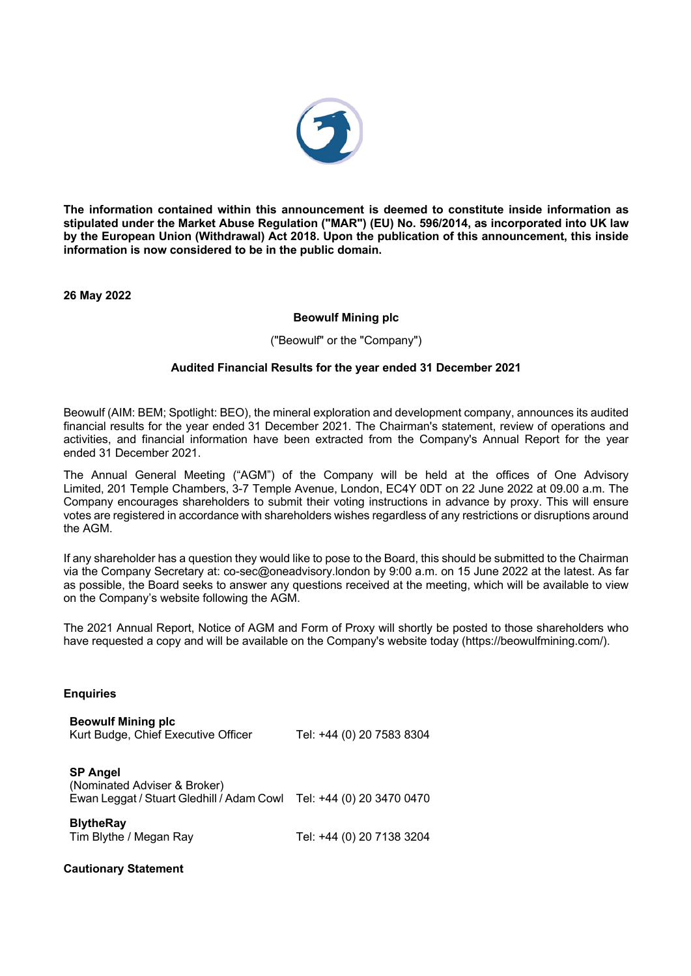

**The information contained within this announcement is deemed to constitute inside information as stipulated under the Market Abuse Regulation ("MAR") (EU) No. 596/2014, as incorporated into UK law by the European Union (Withdrawal) Act 2018. Upon the publication of this announcement, this inside information is now considered to be in the public domain.**

**26 May 2022**

## **Beowulf Mining plc**

("Beowulf" or the "Company")

## **Audited Financial Results for the year ended 31 December 2021**

Beowulf (AIM: BEM; Spotlight: BEO), the mineral exploration and development company, announces its audited financial results for the year ended 31 December 2021. The Chairman's statement, review of operations and activities, and financial information have been extracted from the Company's Annual Report for the year ended 31 December 2021.

The Annual General Meeting ("AGM") of the Company will be held at the offices of One Advisory Limited, 201 Temple Chambers, 3-7 Temple Avenue, London, EC4Y 0DT on 22 June 2022 at 09.00 a.m. The Company encourages shareholders to submit their voting instructions in advance by proxy. This will ensure votes are registered in accordance with shareholders wishes regardless of any restrictions or disruptions around the AGM.

If any shareholder has a question they would like to pose to the Board, this should be submitted to the Chairman via the Company Secretary at: co-sec@oneadvisory.london by 9:00 a.m. on 15 June 2022 at the latest. As far as possible, the Board seeks to answer any questions received at the meeting, which will be available to view on the Company's website following the AGM.

The 2021 Annual Report, Notice of AGM and Form of Proxy will shortly be posted to those shareholders who have requested a copy and will be available on the Company's website today (https://beowulfmining.com/).

#### **Enquiries**

| <b>Beowulf Mining plc</b><br>Kurt Budge, Chief Executive Officer                             | Tel: +44 (0) 20 7583 8304 |
|----------------------------------------------------------------------------------------------|---------------------------|
| <b>SP Angel</b><br>(Nominated Adviser & Broker)<br>Ewan Leggat / Stuart Gledhill / Adam Cowl | Tel: +44 (0) 20 3470 0470 |
| <b>BlytheRay</b><br>Tim Blythe / Megan Ray                                                   | Tel: +44 (0) 20 7138 3204 |

#### **Cautionary Statement**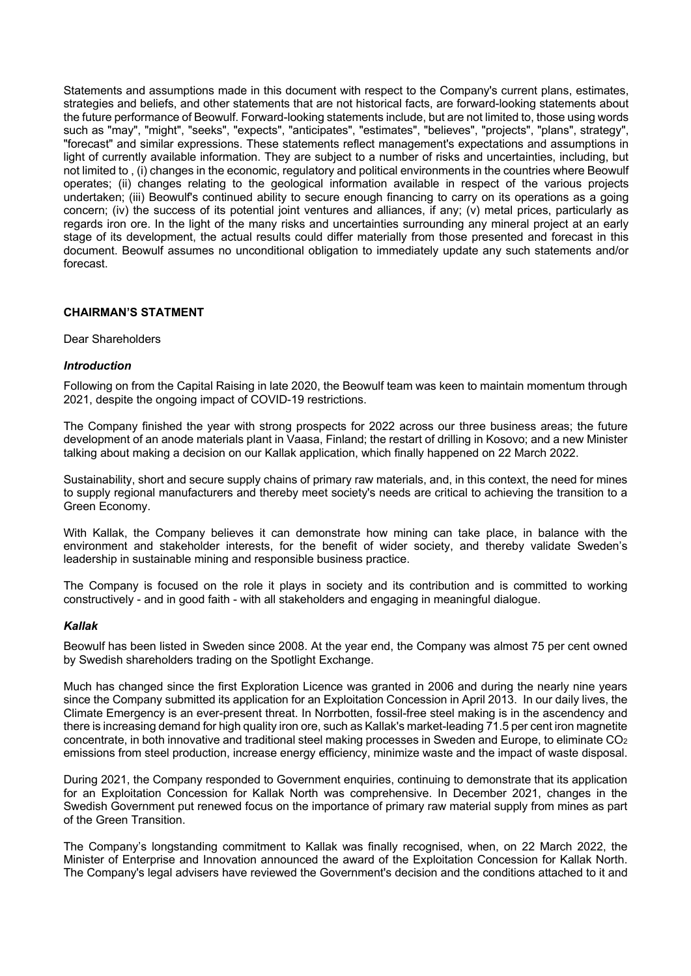Statements and assumptions made in this document with respect to the Company's current plans, estimates, strategies and beliefs, and other statements that are not historical facts, are forward-looking statements about the future performance of Beowulf. Forward-looking statements include, but are not limited to, those using words such as "may", "might", "seeks", "expects", "anticipates", "estimates", "believes", "projects", "plans", strategy", "forecast" and similar expressions. These statements reflect management's expectations and assumptions in light of currently available information. They are subject to a number of risks and uncertainties, including, but not limited to , (i) changes in the economic, regulatory and political environments in the countries where Beowulf operates; (ii) changes relating to the geological information available in respect of the various projects undertaken; (iii) Beowulf's continued ability to secure enough financing to carry on its operations as a going concern; (iv) the success of its potential joint ventures and alliances, if any; (v) metal prices, particularly as regards iron ore. In the light of the many risks and uncertainties surrounding any mineral project at an early stage of its development, the actual results could differ materially from those presented and forecast in this document. Beowulf assumes no unconditional obligation to immediately update any such statements and/or forecast.

# **CHAIRMAN'S STATMENT**

#### Dear Shareholders

#### *Introduction*

Following on from the Capital Raising in late 2020, the Beowulf team was keen to maintain momentum through 2021, despite the ongoing impact of COVID-19 restrictions.

The Company finished the year with strong prospects for 2022 across our three business areas; the future development of an anode materials plant in Vaasa, Finland; the restart of drilling in Kosovo; and a new Minister talking about making a decision on our Kallak application, which finally happened on 22 March 2022.

Sustainability, short and secure supply chains of primary raw materials, and, in this context, the need for mines to supply regional manufacturers and thereby meet society's needs are critical to achieving the transition to a Green Economy.

With Kallak, the Company believes it can demonstrate how mining can take place, in balance with the environment and stakeholder interests, for the benefit of wider society, and thereby validate Sweden's leadership in sustainable mining and responsible business practice.

The Company is focused on the role it plays in society and its contribution and is committed to working constructively - and in good faith - with all stakeholders and engaging in meaningful dialogue.

#### *Kallak*

Beowulf has been listed in Sweden since 2008. At the year end, the Company was almost 75 per cent owned by Swedish shareholders trading on the Spotlight Exchange.

Much has changed since the first Exploration Licence was granted in 2006 and during the nearly nine years since the Company submitted its application for an Exploitation Concession in April 2013. In our daily lives, the Climate Emergency is an ever-present threat. In Norrbotten, fossil-free steel making is in the ascendency and there is increasing demand for high quality iron ore, such as Kallak's market-leading 71.5 per cent iron magnetite concentrate, in both innovative and traditional steel making processes in Sweden and Europe, to eliminate CO<sub>2</sub> emissions from steel production, increase energy efficiency, minimize waste and the impact of waste disposal.

During 2021, the Company responded to Government enquiries, continuing to demonstrate that its application for an Exploitation Concession for Kallak North was comprehensive. In December 2021, changes in the Swedish Government put renewed focus on the importance of primary raw material supply from mines as part of the Green Transition.

The Company's longstanding commitment to Kallak was finally recognised, when, on 22 March 2022, the Minister of Enterprise and Innovation announced the award of the Exploitation Concession for Kallak North. The Company's legal advisers have reviewed the Government's decision and the conditions attached to it and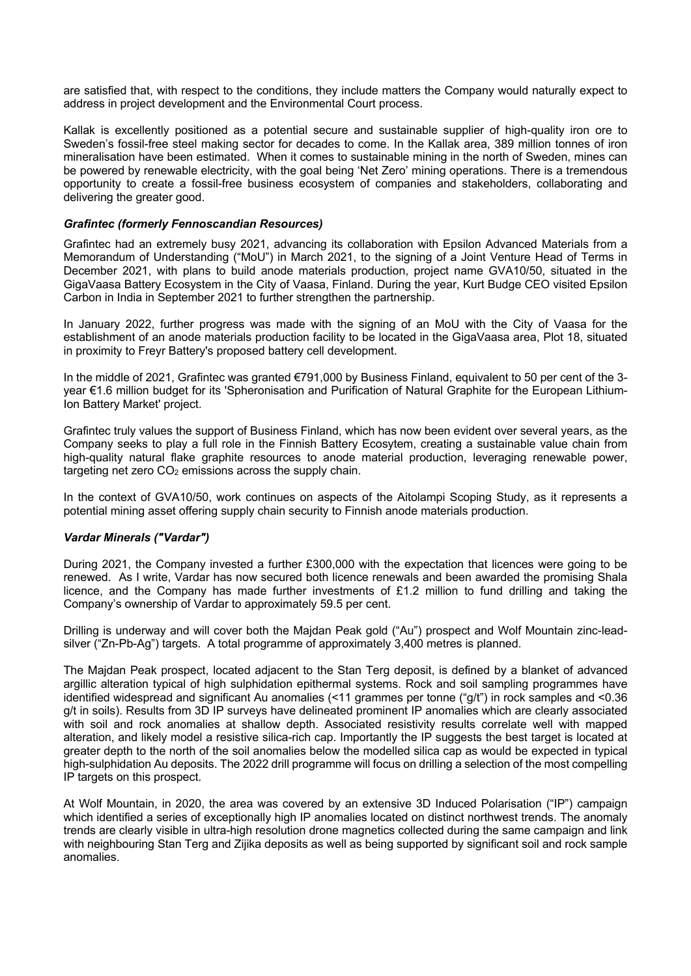are satisfied that, with respect to the conditions, they include matters the Company would naturally expect to address in project development and the Environmental Court process.

Kallak is excellently positioned as a potential secure and sustainable supplier of high-quality iron ore to Sweden's fossil-free steel making sector for decades to come. In the Kallak area, 389 million tonnes of iron mineralisation have been estimated. When it comes to sustainable mining in the north of Sweden, mines can be powered by renewable electricity, with the goal being 'Net Zero' mining operations. There is a tremendous opportunity to create a fossil-free business ecosystem of companies and stakeholders, collaborating and delivering the greater good.

## *Grafintec (formerly Fennoscandian Resources)*

Grafintec had an extremely busy 2021, advancing its collaboration with Epsilon Advanced Materials from a Memorandum of Understanding ("MoU") in March 2021, to the signing of a Joint Venture Head of Terms in December 2021, with plans to build anode materials production, project name GVA10/50, situated in the GigaVaasa Battery Ecosystem in the City of Vaasa, Finland. During the year, Kurt Budge CEO visited Epsilon Carbon in India in September 2021 to further strengthen the partnership.

In January 2022, further progress was made with the signing of an MoU with the City of Vaasa for the establishment of an anode materials production facility to be located in the GigaVaasa area, Plot 18, situated in proximity to Freyr Battery's proposed battery cell development.

In the middle of 2021, Grafintec was granted €791,000 by Business Finland, equivalent to 50 per cent of the 3 year €1.6 million budget for its 'Spheronisation and Purification of Natural Graphite for the European Lithium-Ion Battery Market' project.

Grafintec truly values the support of Business Finland, which has now been evident over several years, as the Company seeks to play a full role in the Finnish Battery Ecosytem, creating a sustainable value chain from high-quality natural flake graphite resources to anode material production, leveraging renewable power, targeting net zero  $CO<sub>2</sub>$  emissions across the supply chain.

In the context of GVA10/50, work continues on aspects of the Aitolampi Scoping Study, as it represents a potential mining asset offering supply chain security to Finnish anode materials production.

# *Vardar Minerals ("Vardar")*

During 2021, the Company invested a further £300,000 with the expectation that licences were going to be renewed. As I write, Vardar has now secured both licence renewals and been awarded the promising Shala licence, and the Company has made further investments of £1.2 million to fund drilling and taking the Company's ownership of Vardar to approximately 59.5 per cent.

Drilling is underway and will cover both the Majdan Peak gold ("Au") prospect and Wolf Mountain zinc-leadsilver ("Zn-Pb-Ag") targets. A total programme of approximately 3,400 metres is planned.

The Majdan Peak prospect, located adjacent to the Stan Terg deposit, is defined by a blanket of advanced argillic alteration typical of high sulphidation epithermal systems. Rock and soil sampling programmes have identified widespread and significant Au anomalies (<11 grammes per tonne ("g/t") in rock samples and <0.36 g/t in soils). Results from 3D IP surveys have delineated prominent IP anomalies which are clearly associated with soil and rock anomalies at shallow depth. Associated resistivity results correlate well with mapped alteration, and likely model a resistive silica-rich cap. Importantly the IP suggests the best target is located at greater depth to the north of the soil anomalies below the modelled silica cap as would be expected in typical high-sulphidation Au deposits. The 2022 drill programme will focus on drilling a selection of the most compelling IP targets on this prospect.

At Wolf Mountain, in 2020, the area was covered by an extensive 3D Induced Polarisation ("IP") campaign which identified a series of exceptionally high IP anomalies located on distinct northwest trends. The anomaly trends are clearly visible in ultra-high resolution drone magnetics collected during the same campaign and link with neighbouring Stan Terg and Zijika deposits as well as being supported by significant soil and rock sample anomalies.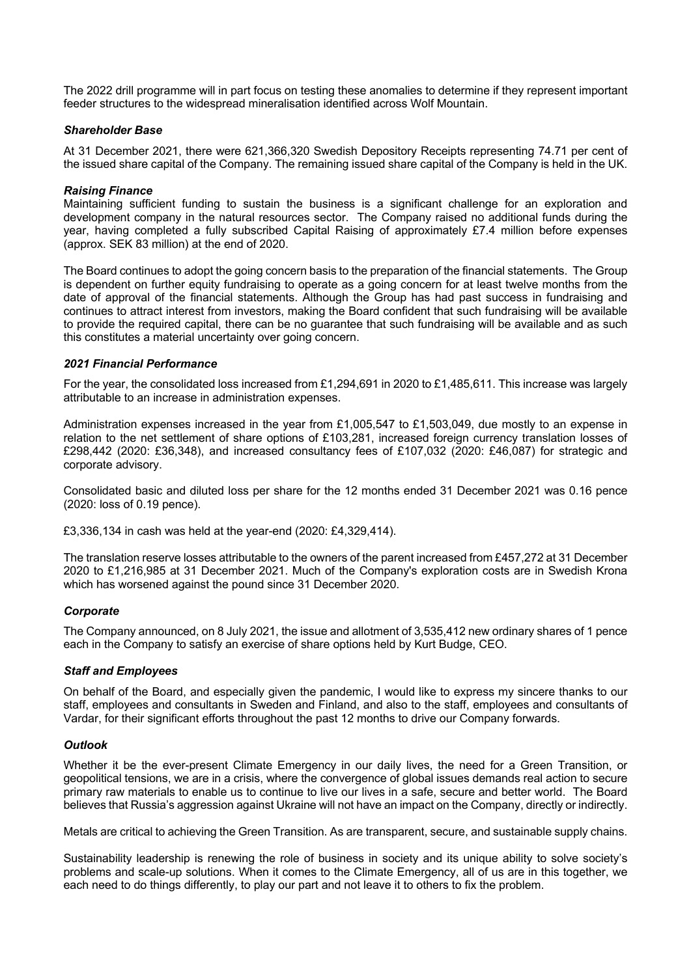The 2022 drill programme will in part focus on testing these anomalies to determine if they represent important feeder structures to the widespread mineralisation identified across Wolf Mountain.

## *Shareholder Base*

At 31 December 2021, there were 621,366,320 Swedish Depository Receipts representing 74.71 per cent of the issued share capital of the Company. The remaining issued share capital of the Company is held in the UK.

### *Raising Finance*

Maintaining sufficient funding to sustain the business is a significant challenge for an exploration and development company in the natural resources sector. The Company raised no additional funds during the year, having completed a fully subscribed Capital Raising of approximately £7.4 million before expenses (approx. SEK 83 million) at the end of 2020.

The Board continues to adopt the going concern basis to the preparation of the financial statements. The Group is dependent on further equity fundraising to operate as a going concern for at least twelve months from the date of approval of the financial statements. Although the Group has had past success in fundraising and continues to attract interest from investors, making the Board confident that such fundraising will be available to provide the required capital, there can be no guarantee that such fundraising will be available and as such this constitutes a material uncertainty over going concern.

## *2021 Financial Performance*

For the year, the consolidated loss increased from £1,294,691 in 2020 to £1,485,611. This increase was largely attributable to an increase in administration expenses.

Administration expenses increased in the year from £1,005,547 to £1,503,049, due mostly to an expense in relation to the net settlement of share options of £103,281, increased foreign currency translation losses of £298,442 (2020: £36,348), and increased consultancy fees of £107,032 (2020: £46,087) for strategic and corporate advisory.

Consolidated basic and diluted loss per share for the 12 months ended 31 December 2021 was 0.16 pence (2020: loss of 0.19 pence).

£3,336,134 in cash was held at the year-end (2020: £4,329,414).

The translation reserve losses attributable to the owners of the parent increased from £457,272 at 31 December 2020 to £1,216,985 at 31 December 2021. Much of the Company's exploration costs are in Swedish Krona which has worsened against the pound since 31 December 2020.

#### *Corporate*

The Company announced, on 8 July 2021, the issue and allotment of 3,535,412 new ordinary shares of 1 pence each in the Company to satisfy an exercise of share options held by Kurt Budge, CEO.

#### *Staff and Employees*

On behalf of the Board, and especially given the pandemic, I would like to express my sincere thanks to our staff, employees and consultants in Sweden and Finland, and also to the staff, employees and consultants of Vardar, for their significant efforts throughout the past 12 months to drive our Company forwards.

#### *Outlook*

Whether it be the ever-present Climate Emergency in our daily lives, the need for a Green Transition, or geopolitical tensions, we are in a crisis, where the convergence of global issues demands real action to secure primary raw materials to enable us to continue to live our lives in a safe, secure and better world. The Board believes that Russia's aggression against Ukraine will not have an impact on the Company, directly or indirectly.

Metals are critical to achieving the Green Transition. As are transparent, secure, and sustainable supply chains.

Sustainability leadership is renewing the role of business in society and its unique ability to solve society's problems and scale-up solutions. When it comes to the Climate Emergency, all of us are in this together, we each need to do things differently, to play our part and not leave it to others to fix the problem.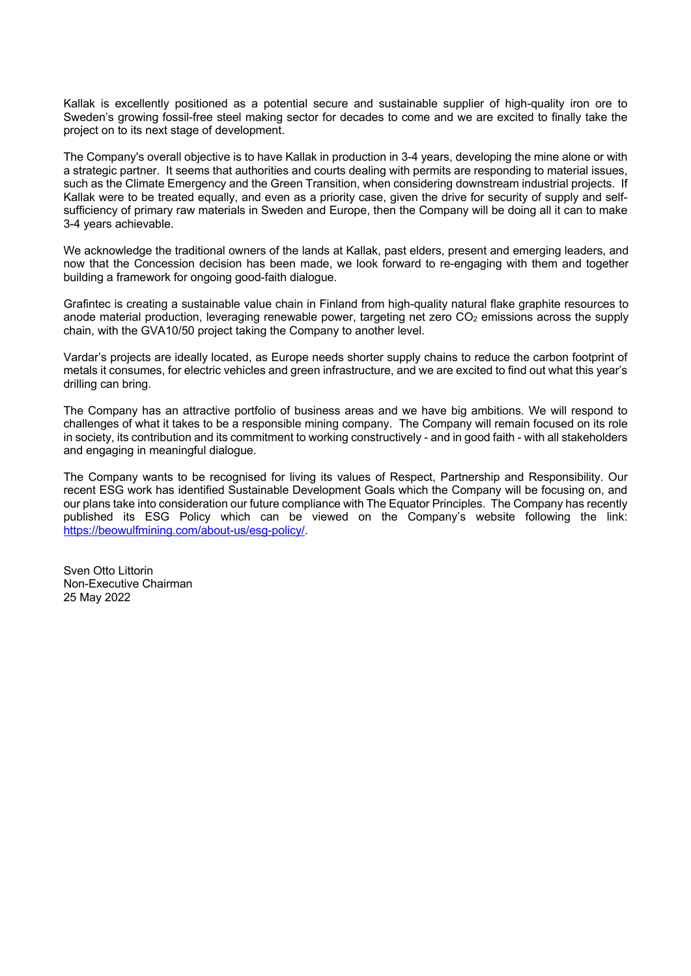Kallak is excellently positioned as a potential secure and sustainable supplier of high-quality iron ore to Sweden's growing fossil-free steel making sector for decades to come and we are excited to finally take the project on to its next stage of development.

The Company's overall objective is to have Kallak in production in 3-4 years, developing the mine alone or with a strategic partner. It seems that authorities and courts dealing with permits are responding to material issues, such as the Climate Emergency and the Green Transition, when considering downstream industrial projects. If Kallak were to be treated equally, and even as a priority case, given the drive for security of supply and selfsufficiency of primary raw materials in Sweden and Europe, then the Company will be doing all it can to make 3-4 years achievable.

We acknowledge the traditional owners of the lands at Kallak, past elders, present and emerging leaders, and now that the Concession decision has been made, we look forward to re-engaging with them and together building a framework for ongoing good-faith dialogue.

Grafintec is creating a sustainable value chain in Finland from high-quality natural flake graphite resources to anode material production, leveraging renewable power, targeting net zero CO<sub>2</sub> emissions across the supply chain, with the GVA10/50 project taking the Company to another level.

Vardar's projects are ideally located, as Europe needs shorter supply chains to reduce the carbon footprint of metals it consumes, for electric vehicles and green infrastructure, and we are excited to find out what this year's drilling can bring.

The Company has an attractive portfolio of business areas and we have big ambitions. We will respond to challenges of what it takes to be a responsible mining company. The Company will remain focused on its role in society, its contribution and its commitment to working constructively - and in good faith - with all stakeholders and engaging in meaningful dialogue.

The Company wants to be recognised for living its values of Respect, Partnership and Responsibility. Our recent ESG work has identified Sustainable Development Goals which the Company will be focusing on, and our plans take into consideration our future compliance with The Equator Principles. The Company has recently published its ESG Policy which can be viewed on the Company's website following the link: https://beowulfmining.com/about-us/esg-policy/.

Sven Otto Littorin Non-Executive Chairman 25 May 2022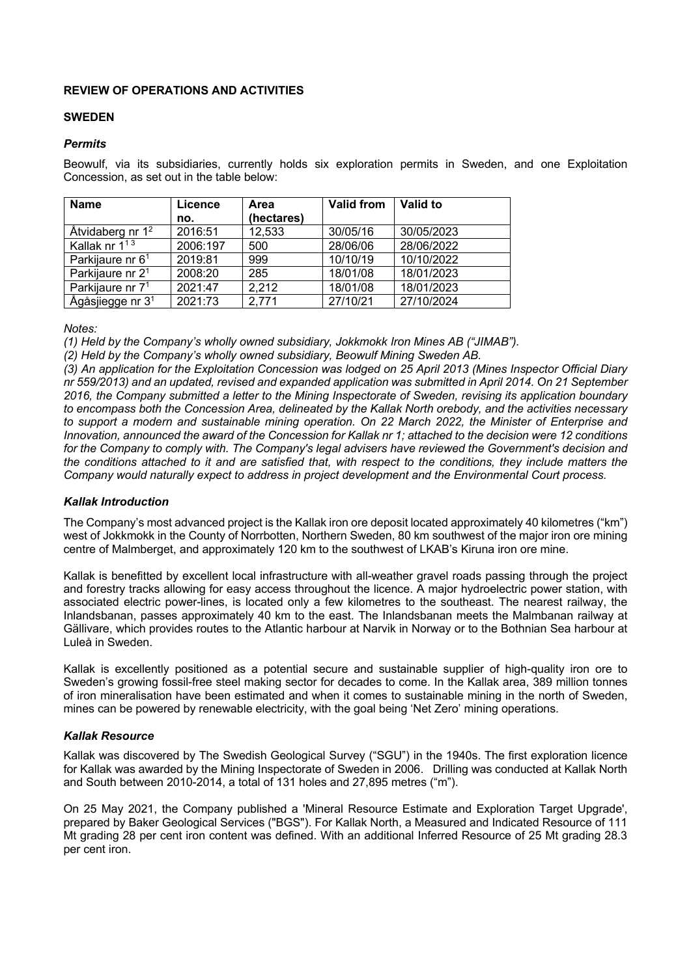# **REVIEW OF OPERATIONS AND ACTIVITIES**

# **SWEDEN**

## *Permits*

Beowulf, via its subsidiaries, currently holds six exploration permits in Sweden, and one Exploitation Concession, as set out in the table below:

| <b>Name</b>                  | Licence  | Area       | <b>Valid from</b> | Valid to   |
|------------------------------|----------|------------|-------------------|------------|
|                              | no.      | (hectares) |                   |            |
| Åtvidaberg nr 1 <sup>2</sup> | 2016:51  | 12,533     | 30/05/16          | 30/05/2023 |
| Kallak nr $1^{13}$           | 2006:197 | 500        | 28/06/06          | 28/06/2022 |
| Parkijaure nr 6 <sup>1</sup> | 2019:81  | 999        | 10/10/19          | 10/10/2022 |
| Parkijaure nr 2 <sup>1</sup> | 2008:20  | 285        | 18/01/08          | 18/01/2023 |
| Parkijaure nr 7 <sup>1</sup> | 2021:47  | 2,212      | 18/01/08          | 18/01/2023 |
| Ågåsjiegge nr 3 <sup>1</sup> | 2021:73  | 2,771      | 27/10/21          | 27/10/2024 |

*Notes:*

*(1) Held by the Company's wholly owned subsidiary, Jokkmokk Iron Mines AB ("JIMAB").* 

*(2) Held by the Company's wholly owned subsidiary, Beowulf Mining Sweden AB.* 

*(3) An application for the Exploitation Concession was lodged on 25 April 2013 (Mines Inspector Official Diary nr 559/2013) and an updated, revised and expanded application was submitted in April 2014. On 21 September 2016, the Company submitted a letter to the Mining Inspectorate of Sweden, revising its application boundary to encompass both the Concession Area, delineated by the Kallak North orebody, and the activities necessary to support a modern and sustainable mining operation. On 22 March 2022, the Minister of Enterprise and Innovation, announced the award of the Concession for Kallak nr 1; attached to the decision were 12 conditions for the Company to comply with. The Company's legal advisers have reviewed the Government's decision and the conditions attached to it and are satisfied that, with respect to the conditions, they include matters the Company would naturally expect to address in project development and the Environmental Court process.*

# *Kallak Introduction*

The Company's most advanced project is the Kallak iron ore deposit located approximately 40 kilometres ("km") west of Jokkmokk in the County of Norrbotten, Northern Sweden, 80 km southwest of the major iron ore mining centre of Malmberget, and approximately 120 km to the southwest of LKAB's Kiruna iron ore mine.

Kallak is benefitted by excellent local infrastructure with all-weather gravel roads passing through the project and forestry tracks allowing for easy access throughout the licence. A major hydroelectric power station, with associated electric power-lines, is located only a few kilometres to the southeast. The nearest railway, the Inlandsbanan, passes approximately 40 km to the east. The Inlandsbanan meets the Malmbanan railway at Gällivare, which provides routes to the Atlantic harbour at Narvik in Norway or to the Bothnian Sea harbour at Luleå in Sweden.

Kallak is excellently positioned as a potential secure and sustainable supplier of high-quality iron ore to Sweden's growing fossil-free steel making sector for decades to come. In the Kallak area, 389 million tonnes of iron mineralisation have been estimated and when it comes to sustainable mining in the north of Sweden, mines can be powered by renewable electricity, with the goal being 'Net Zero' mining operations.

# *Kallak Resource*

Kallak was discovered by The Swedish Geological Survey ("SGU") in the 1940s. The first exploration licence for Kallak was awarded by the Mining Inspectorate of Sweden in 2006. Drilling was conducted at Kallak North and South between 2010-2014, a total of 131 holes and 27,895 metres ("m").

On 25 May 2021, the Company published a 'Mineral Resource Estimate and Exploration Target Upgrade', prepared by Baker Geological Services ("BGS"). For Kallak North, a Measured and Indicated Resource of 111 Mt grading 28 per cent iron content was defined. With an additional Inferred Resource of 25 Mt grading 28.3 per cent iron.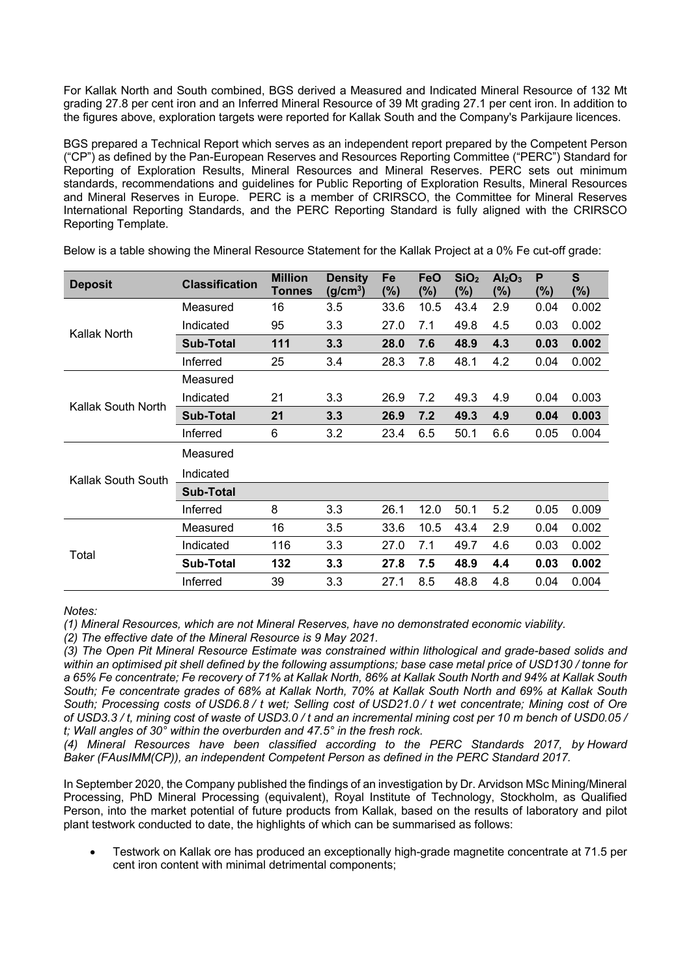For Kallak North and South combined, BGS derived a Measured and Indicated Mineral Resource of 132 Mt grading 27.8 per cent iron and an Inferred Mineral Resource of 39 Mt grading 27.1 per cent iron. In addition to the figures above, exploration targets were reported for Kallak South and the Company's Parkijaure licences.

BGS prepared a Technical Report which serves as an independent report prepared by the Competent Person ("CP") as defined by the Pan-European Reserves and Resources Reporting Committee ("PERC") Standard for Reporting of Exploration Results, Mineral Resources and Mineral Reserves. PERC sets out minimum standards, recommendations and guidelines for Public Reporting of Exploration Results, Mineral Resources and Mineral Reserves in Europe. PERC is a member of CRIRSCO, the Committee for Mineral Reserves International Reporting Standards, and the PERC Reporting Standard is fully aligned with the CRIRSCO Reporting Template.

| <b>Deposit</b>     | <b>Classification</b> | <b>Million</b><br><b>Tonnes</b> | <b>Density</b><br>$(g/cm^3)$ | Fe<br>$(\%)$ | <b>FeO</b><br>(%) | SiO <sub>2</sub><br>(%) | Al <sub>2</sub> O <sub>3</sub><br>$(\%)$ | P<br>$(\%)$ | $\mathbf{s}$<br>$(\%)$ |
|--------------------|-----------------------|---------------------------------|------------------------------|--------------|-------------------|-------------------------|------------------------------------------|-------------|------------------------|
|                    | Measured              | 16                              | 3.5                          | 33.6         | 10.5              | 43.4                    | 2.9                                      | 0.04        | 0.002                  |
| Kallak North       | Indicated             | 95                              | 3.3                          | 27.0         | 7.1               | 49.8                    | 4.5                                      | 0.03        | 0.002                  |
|                    | <b>Sub-Total</b>      | 111                             | 3.3                          | 28.0         | 7.6               | 48.9                    | 4.3                                      | 0.03        | 0.002                  |
|                    | Inferred              | 25                              | 3.4                          | 28.3         | 7.8               | 48.1                    | 4.2                                      | 0.04        | 0.002                  |
|                    | Measured              |                                 |                              |              |                   |                         |                                          |             |                        |
| Kallak South North | Indicated             | 21                              | 3.3                          | 26.9         | 7.2               | 49.3                    | 4.9                                      | 0.04        | 0.003                  |
|                    | <b>Sub-Total</b>      | 21                              | 3.3                          | 26.9         | 7.2               | 49.3                    | 4.9                                      | 0.04        | 0.003                  |
|                    | Inferred              | 6                               | 3.2                          | 23.4         | 6.5               | 50.1                    | 6.6                                      | 0.05        | 0.004                  |
|                    | Measured              |                                 |                              |              |                   |                         |                                          |             |                        |
| Kallak South South | Indicated             |                                 |                              |              |                   |                         |                                          |             |                        |
|                    | <b>Sub-Total</b>      |                                 |                              |              |                   |                         |                                          |             |                        |
|                    | Inferred              | 8                               | 3.3                          | 26.1         | 12.0              | 50.1                    | 5.2                                      | 0.05        | 0.009                  |
| Total              | Measured              | 16                              | 3.5                          | 33.6         | 10.5              | 43.4                    | 2.9                                      | 0.04        | 0.002                  |
|                    | Indicated             | 116                             | 3.3                          | 27.0         | 7.1               | 49.7                    | 4.6                                      | 0.03        | 0.002                  |
|                    | <b>Sub-Total</b>      | 132                             | 3.3                          | 27.8         | 7.5               | 48.9                    | 4.4                                      | 0.03        | 0.002                  |
|                    | Inferred              | 39                              | 3.3                          | 27.1         | 8.5               | 48.8                    | 4.8                                      | 0.04        | 0.004                  |

Below is a table showing the Mineral Resource Statement for the Kallak Project at a 0% Fe cut-off grade:

*Notes:*

*(1) Mineral Resources, which are not Mineral Reserves, have no demonstrated economic viability.*

*(2) The effective date of the Mineral Resource is 9 May 2021.*

*(3) The Open Pit Mineral Resource Estimate was constrained within lithological and grade-based solids and within an optimised pit shell defined by the following assumptions; base case metal price of USD130 / tonne for a 65% Fe concentrate; Fe recovery of 71% at Kallak North, 86% at Kallak South North and 94% at Kallak South South; Fe concentrate grades of 68% at Kallak North, 70% at Kallak South North and 69% at Kallak South South; Processing costs of USD6.8 / t wet; Selling cost of USD21.0 / t wet concentrate; Mining cost of Ore of USD3.3 / t, mining cost of waste of USD3.0 / t and an incremental mining cost per 10 m bench of USD0.05 / t; Wall angles of 30° within the overburden and 47.5° in the fresh rock.*

*(4) Mineral Resources have been classified according to the PERC Standards 2017, by Howard Baker (FAusIMM(CP)), an independent Competent Person as defined in the PERC Standard 2017.*

In September 2020, the Company published the findings of an investigation by Dr. Arvidson MSc Mining/Mineral Processing, PhD Mineral Processing (equivalent), Royal Institute of Technology, Stockholm, as Qualified Person, into the market potential of future products from Kallak, based on the results of laboratory and pilot plant testwork conducted to date, the highlights of which can be summarised as follows:

• Testwork on Kallak ore has produced an exceptionally high-grade magnetite concentrate at 71.5 per cent iron content with minimal detrimental components;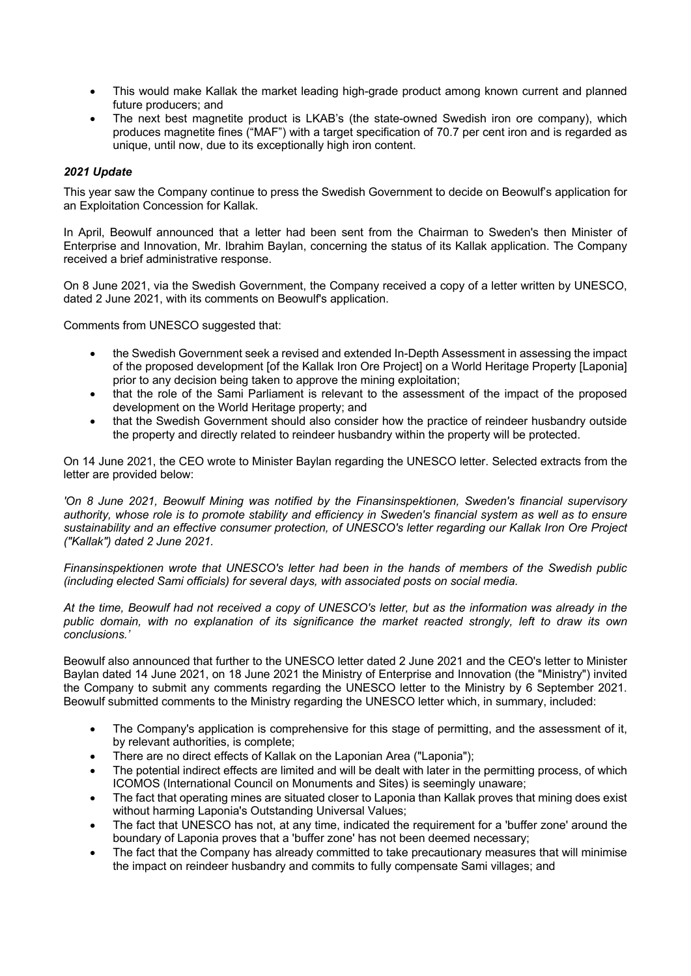- This would make Kallak the market leading high-grade product among known current and planned future producers; and
- The next best magnetite product is LKAB's (the state-owned Swedish iron ore company), which produces magnetite fines ("MAF") with a target specification of 70.7 per cent iron and is regarded as unique, until now, due to its exceptionally high iron content.

# *2021 Update*

This year saw the Company continue to press the Swedish Government to decide on Beowulf's application for an Exploitation Concession for Kallak.

In April, Beowulf announced that a letter had been sent from the Chairman to Sweden's then Minister of Enterprise and Innovation, Mr. Ibrahim Baylan, concerning the status of its Kallak application. The Company received a brief administrative response.

On 8 June 2021, via the Swedish Government, the Company received a copy of a letter written by UNESCO, dated 2 June 2021, with its comments on Beowulf's application.

Comments from UNESCO suggested that:

- the Swedish Government seek a revised and extended In-Depth Assessment in assessing the impact of the proposed development [of the Kallak Iron Ore Project] on a World Heritage Property [Laponia] prior to any decision being taken to approve the mining exploitation;
- that the role of the Sami Parliament is relevant to the assessment of the impact of the proposed development on the World Heritage property; and
- that the Swedish Government should also consider how the practice of reindeer husbandry outside the property and directly related to reindeer husbandry within the property will be protected.

On 14 June 2021, the CEO wrote to Minister Baylan regarding the UNESCO letter. Selected extracts from the letter are provided below:

*'On 8 June 2021, Beowulf Mining was notified by the Finansinspektionen, Sweden's financial supervisory authority, whose role is to promote stability and efficiency in Sweden's financial system as well as to ensure sustainability and an effective consumer protection, of UNESCO's letter regarding our Kallak Iron Ore Project ("Kallak") dated 2 June 2021.*

*Finansinspektionen wrote that UNESCO's letter had been in the hands of members of the Swedish public (including elected Sami officials) for several days, with associated posts on social media.*

*At the time, Beowulf had not received a copy of UNESCO's letter, but as the information was already in the public domain, with no explanation of its significance the market reacted strongly, left to draw its own conclusions.'*

Beowulf also announced that further to the UNESCO letter dated 2 June 2021 and the CEO's letter to Minister Baylan dated 14 June 2021, on 18 June 2021 the Ministry of Enterprise and Innovation (the "Ministry") invited the Company to submit any comments regarding the UNESCO letter to the Ministry by 6 September 2021. Beowulf submitted comments to the Ministry regarding the UNESCO letter which, in summary, included:

- The Company's application is comprehensive for this stage of permitting, and the assessment of it. by relevant authorities, is complete;
- There are no direct effects of Kallak on the Laponian Area ("Laponia");
- The potential indirect effects are limited and will be dealt with later in the permitting process, of which ICOMOS (International Council on Monuments and Sites) is seemingly unaware;
- The fact that operating mines are situated closer to Laponia than Kallak proves that mining does exist without harming Laponia's Outstanding Universal Values;
- The fact that UNESCO has not, at any time, indicated the requirement for a 'buffer zone' around the boundary of Laponia proves that a 'buffer zone' has not been deemed necessary;
- The fact that the Company has already committed to take precautionary measures that will minimise the impact on reindeer husbandry and commits to fully compensate Sami villages; and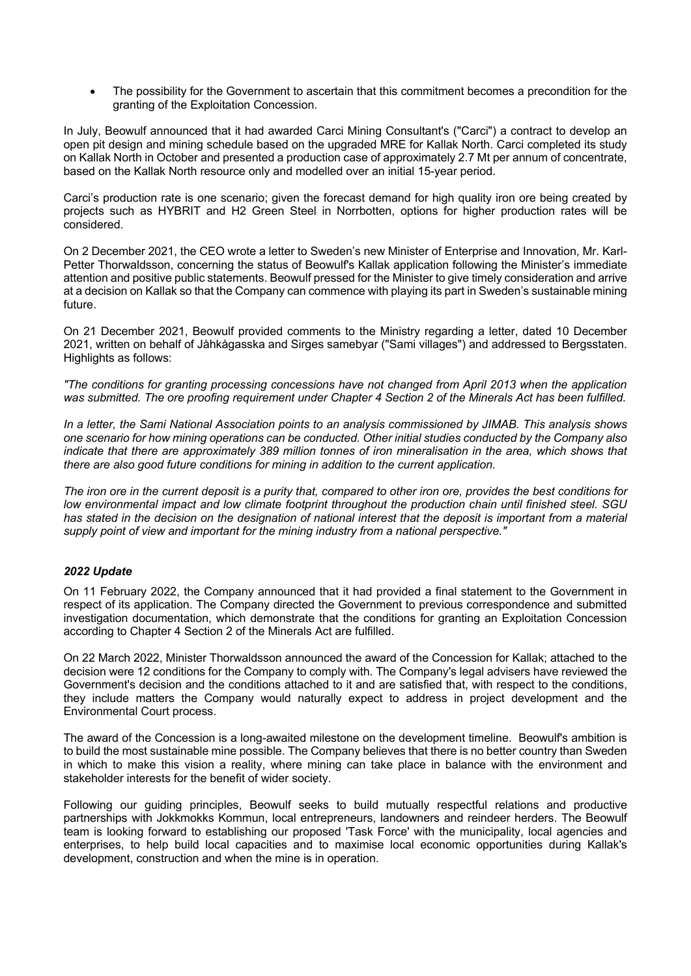• The possibility for the Government to ascertain that this commitment becomes a precondition for the granting of the Exploitation Concession.

In July, Beowulf announced that it had awarded Carci Mining Consultant's ("Carci") a contract to develop an open pit design and mining schedule based on the upgraded MRE for Kallak North. Carci completed its study on Kallak North in October and presented a production case of approximately 2.7 Mt per annum of concentrate, based on the Kallak North resource only and modelled over an initial 15-year period.

Carci's production rate is one scenario; given the forecast demand for high quality iron ore being created by projects such as HYBRIT and H2 Green Steel in Norrbotten, options for higher production rates will be considered.

On 2 December 2021, the CEO wrote a letter to Sweden's new Minister of Enterprise and Innovation, Mr. Karl-Petter Thorwaldsson, concerning the status of Beowulf's Kallak application following the Minister's immediate attention and positive public statements. Beowulf pressed for the Minister to give timely consideration and arrive at a decision on Kallak so that the Company can commence with playing its part in Sweden's sustainable mining future.

On 21 December 2021, Beowulf provided comments to the Ministry regarding a letter, dated 10 December 2021, written on behalf of Jåhkågasska and Sirges samebyar ("Sami villages") and addressed to Bergsstaten. Highlights as follows:

*"The conditions for granting processing concessions have not changed from April 2013 when the application was submitted. The ore proofing requirement under Chapter 4 Section 2 of the Minerals Act has been fulfilled.*

*In a letter, the Sami National Association points to an analysis commissioned by JIMAB. This analysis shows one scenario for how mining operations can be conducted. Other initial studies conducted by the Company also*  indicate that there are approximately 389 million tonnes of iron mineralisation in the area, which shows that *there are also good future conditions for mining in addition to the current application.*

*The iron ore in the current deposit is a purity that, compared to other iron ore, provides the best conditions for low environmental impact and low climate footprint throughout the production chain until finished steel. SGU*  has stated in the decision on the designation of national interest that the deposit is important from a material *supply point of view and important for the mining industry from a national perspective."*

# *2022 Update*

On 11 February 2022, the Company announced that it had provided a final statement to the Government in respect of its application. The Company directed the Government to previous correspondence and submitted investigation documentation, which demonstrate that the conditions for granting an Exploitation Concession according to Chapter 4 Section 2 of the Minerals Act are fulfilled.

On 22 March 2022, Minister Thorwaldsson announced the award of the Concession for Kallak; attached to the decision were 12 conditions for the Company to comply with. The Company's legal advisers have reviewed the Government's decision and the conditions attached to it and are satisfied that, with respect to the conditions, they include matters the Company would naturally expect to address in project development and the Environmental Court process.

The award of the Concession is a long-awaited milestone on the development timeline. Beowulf's ambition is to build the most sustainable mine possible. The Company believes that there is no better country than Sweden in which to make this vision a reality, where mining can take place in balance with the environment and stakeholder interests for the benefit of wider society.

Following our guiding principles, Beowulf seeks to build mutually respectful relations and productive partnerships with Jokkmokks Kommun, local entrepreneurs, landowners and reindeer herders. The Beowulf team is looking forward to establishing our proposed 'Task Force' with the municipality, local agencies and enterprises, to help build local capacities and to maximise local economic opportunities during Kallak's development, construction and when the mine is in operation.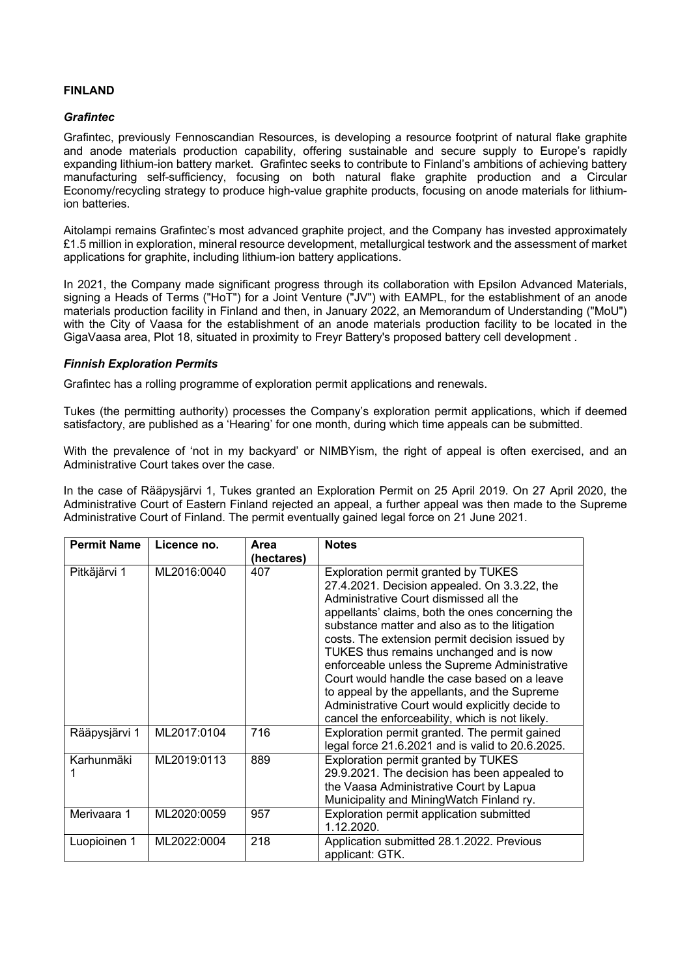# **FINLAND**

## *Grafintec*

Grafintec, previously Fennoscandian Resources, is developing a resource footprint of natural flake graphite and anode materials production capability, offering sustainable and secure supply to Europe's rapidly expanding lithium-ion battery market. Grafintec seeks to contribute to Finland's ambitions of achieving battery manufacturing self-sufficiency, focusing on both natural flake graphite production and a Circular Economy/recycling strategy to produce high-value graphite products, focusing on anode materials for lithiumion batteries.

Aitolampi remains Grafintec's most advanced graphite project, and the Company has invested approximately £1.5 million in exploration, mineral resource development, metallurgical testwork and the assessment of market applications for graphite, including lithium-ion battery applications.

In 2021, the Company made significant progress through its collaboration with Epsilon Advanced Materials, signing a Heads of Terms ("HoT") for a Joint Venture ("JV") with EAMPL, for the establishment of an anode materials production facility in Finland and then, in January 2022, an Memorandum of Understanding ("MoU") with the City of Vaasa for the establishment of an anode materials production facility to be located in the GigaVaasa area, Plot 18, situated in proximity to Freyr Battery's proposed battery cell development .

## *Finnish Exploration Permits*

Grafintec has a rolling programme of exploration permit applications and renewals.

Tukes (the permitting authority) processes the Company's exploration permit applications, which if deemed satisfactory, are published as a 'Hearing' for one month, during which time appeals can be submitted.

With the prevalence of 'not in my backyard' or NIMBYism, the right of appeal is often exercised, and an Administrative Court takes over the case.

In the case of Rääpysjärvi 1, Tukes granted an Exploration Permit on 25 April 2019. On 27 April 2020, the Administrative Court of Eastern Finland rejected an appeal, a further appeal was then made to the Supreme Administrative Court of Finland. The permit eventually gained legal force on 21 June 2021.

| <b>Permit Name</b> | Licence no. | Area       | <b>Notes</b>                                                                                                                                                                                                                                                                                                                                                                                                                                                                                                                                                                            |
|--------------------|-------------|------------|-----------------------------------------------------------------------------------------------------------------------------------------------------------------------------------------------------------------------------------------------------------------------------------------------------------------------------------------------------------------------------------------------------------------------------------------------------------------------------------------------------------------------------------------------------------------------------------------|
|                    |             | (hectares) |                                                                                                                                                                                                                                                                                                                                                                                                                                                                                                                                                                                         |
| Pitkäjärvi 1       | ML2016:0040 | 407        | Exploration permit granted by TUKES<br>27.4.2021. Decision appealed. On 3.3.22, the<br>Administrative Court dismissed all the<br>appellants' claims, both the ones concerning the<br>substance matter and also as to the litigation<br>costs. The extension permit decision issued by<br>TUKES thus remains unchanged and is now<br>enforceable unless the Supreme Administrative<br>Court would handle the case based on a leave<br>to appeal by the appellants, and the Supreme<br>Administrative Court would explicitly decide to<br>cancel the enforceability, which is not likely. |
| Rääpysjärvi 1      | ML2017:0104 | 716        | Exploration permit granted. The permit gained<br>legal force 21.6.2021 and is valid to 20.6.2025.                                                                                                                                                                                                                                                                                                                                                                                                                                                                                       |
| Karhunmäki         | ML2019:0113 | 889        | Exploration permit granted by TUKES<br>29.9.2021. The decision has been appealed to<br>the Vaasa Administrative Court by Lapua<br>Municipality and MiningWatch Finland ry.                                                                                                                                                                                                                                                                                                                                                                                                              |
| Merivaara 1        | ML2020:0059 | 957        | Exploration permit application submitted<br>1.12.2020.                                                                                                                                                                                                                                                                                                                                                                                                                                                                                                                                  |
| Luopioinen 1       | ML2022:0004 | 218        | Application submitted 28.1.2022. Previous<br>applicant: GTK.                                                                                                                                                                                                                                                                                                                                                                                                                                                                                                                            |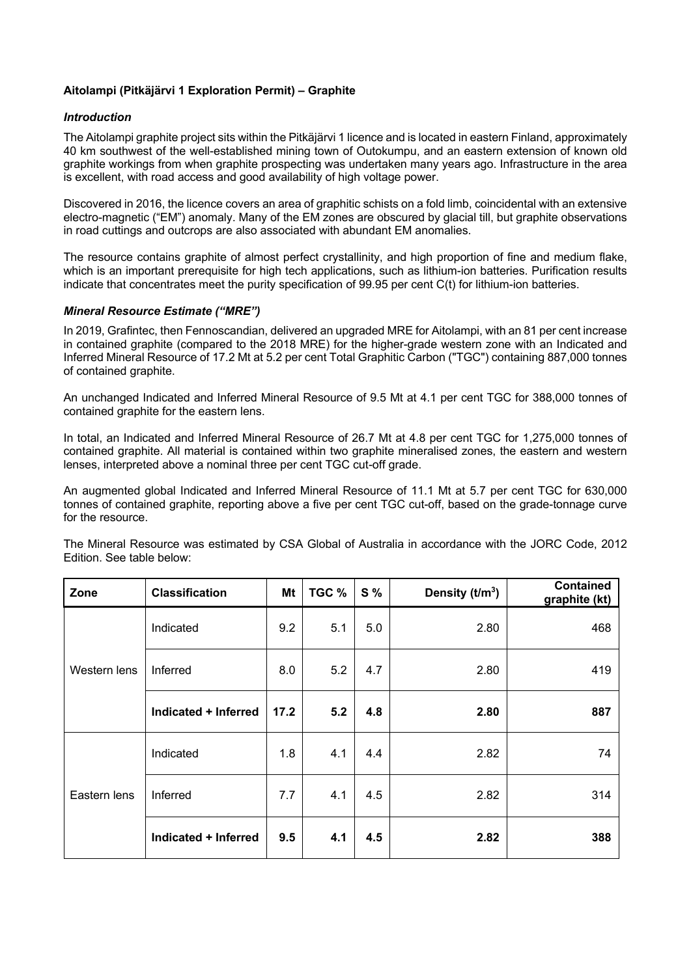# **Aitolampi (Pitkäjärvi 1 Exploration Permit) – Graphite**

## *Introduction*

The Aitolampi graphite project sits within the Pitkäjärvi 1 licence and is located in eastern Finland, approximately 40 km southwest of the well-established mining town of Outokumpu, and an eastern extension of known old graphite workings from when graphite prospecting was undertaken many years ago. Infrastructure in the area is excellent, with road access and good availability of high voltage power.

Discovered in 2016, the licence covers an area of graphitic schists on a fold limb, coincidental with an extensive electro-magnetic ("EM") anomaly. Many of the EM zones are obscured by glacial till, but graphite observations in road cuttings and outcrops are also associated with abundant EM anomalies.

The resource contains graphite of almost perfect crystallinity, and high proportion of fine and medium flake, which is an important prerequisite for high tech applications, such as lithium-ion batteries. Purification results indicate that concentrates meet the purity specification of 99.95 per cent C(t) for lithium-ion batteries.

## *Mineral Resource Estimate ("MRE")*

In 2019, Grafintec, then Fennoscandian, delivered an upgraded MRE for Aitolampi, with an 81 per cent increase in contained graphite (compared to the 2018 MRE) for the higher-grade western zone with an Indicated and Inferred Mineral Resource of 17.2 Mt at 5.2 per cent Total Graphitic Carbon ("TGC") containing 887,000 tonnes of contained graphite.

An unchanged Indicated and Inferred Mineral Resource of 9.5 Mt at 4.1 per cent TGC for 388,000 tonnes of contained graphite for the eastern lens.

In total, an Indicated and Inferred Mineral Resource of 26.7 Mt at 4.8 per cent TGC for 1,275,000 tonnes of contained graphite. All material is contained within two graphite mineralised zones, the eastern and western lenses, interpreted above a nominal three per cent TGC cut-off grade.

An augmented global Indicated and Inferred Mineral Resource of 11.1 Mt at 5.7 per cent TGC for 630,000 tonnes of contained graphite, reporting above a five per cent TGC cut-off, based on the grade-tonnage curve for the resource.

| Zone         | <b>Classification</b> | Mt   | TGC % | <b>S</b> % | Density $(t/m3)$ | <b>Contained</b><br>graphite (kt) |
|--------------|-----------------------|------|-------|------------|------------------|-----------------------------------|
|              | Indicated             | 9.2  | 5.1   | 5.0        | 2.80             | 468                               |
| Western lens | Inferred              | 8.0  | 5.2   | 4.7        | 2.80             | 419                               |
|              | Indicated + Inferred  | 17.2 | 5.2   | 4.8        | 2.80             | 887                               |
|              | Indicated             | 1.8  | 4.1   | 4.4        | 2.82             | 74                                |
| Eastern lens | Inferred              | 7.7  | 4.1   | 4.5        | 2.82             | 314                               |
|              | Indicated + Inferred  | 9.5  | 4.1   | 4.5        | 2.82             | 388                               |

The Mineral Resource was estimated by CSA Global of Australia in accordance with the JORC Code, 2012 Edition. See table below: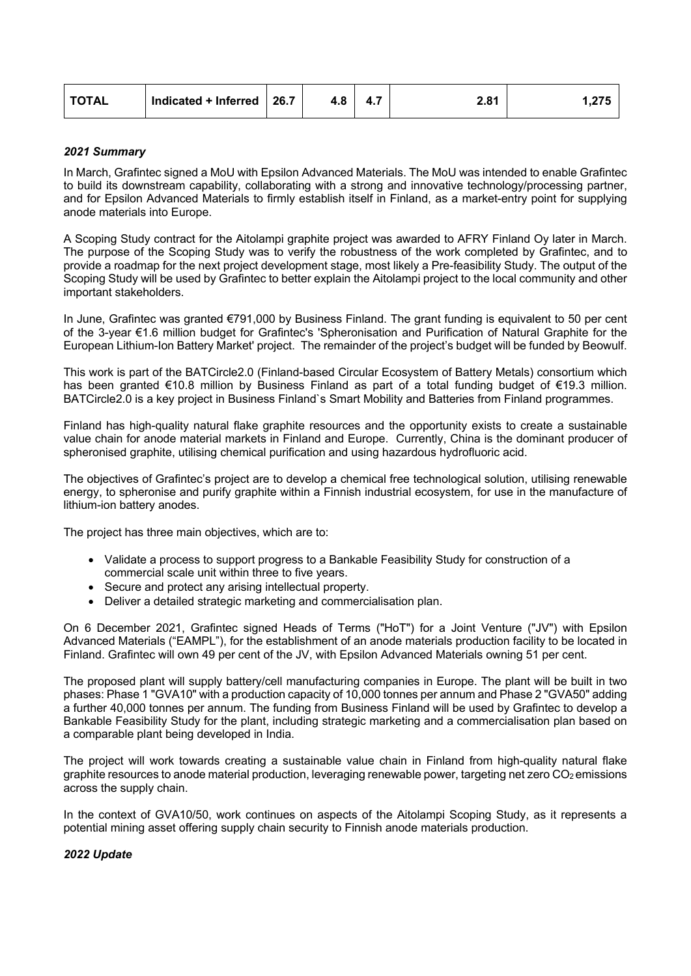| <b>TOTAL</b><br>Indicated + Inferred $\vert$ 26.7<br>$\mathbf{A}$ $\mathbf{z}$<br>2.81<br>. LO<br>. . <i>.</i> | つフト<br>. |
|----------------------------------------------------------------------------------------------------------------|----------|
|----------------------------------------------------------------------------------------------------------------|----------|

## *2021 Summary*

In March, Grafintec signed a MoU with Epsilon Advanced Materials. The MoU was intended to enable Grafintec to build its downstream capability, collaborating with a strong and innovative technology/processing partner, and for Epsilon Advanced Materials to firmly establish itself in Finland, as a market-entry point for supplying anode materials into Europe.

A Scoping Study contract for the Aitolampi graphite project was awarded to AFRY Finland Oy later in March. The purpose of the Scoping Study was to verify the robustness of the work completed by Grafintec, and to provide a roadmap for the next project development stage, most likely a Pre-feasibility Study. The output of the Scoping Study will be used by Grafintec to better explain the Aitolampi project to the local community and other important stakeholders.

In June, Grafintec was granted €791,000 by Business Finland. The grant funding is equivalent to 50 per cent of the 3-year €1.6 million budget for Grafintec's 'Spheronisation and Purification of Natural Graphite for the European Lithium-Ion Battery Market' project. The remainder of the project's budget will be funded by Beowulf.

This work is part of the BATCircle2.0 (Finland-based Circular Ecosystem of Battery Metals) consortium which has been granted €10.8 million by Business Finland as part of a total funding budget of €19.3 million. BATCircle2.0 is a key project in Business Finland`s Smart Mobility and Batteries from Finland programmes.

Finland has high-quality natural flake graphite resources and the opportunity exists to create a sustainable value chain for anode material markets in Finland and Europe. Currently, China is the dominant producer of spheronised graphite, utilising chemical purification and using hazardous hydrofluoric acid.

The objectives of Grafintec's project are to develop a chemical free technological solution, utilising renewable energy, to spheronise and purify graphite within a Finnish industrial ecosystem, for use in the manufacture of lithium-ion battery anodes.

The project has three main objectives, which are to:

- Validate a process to support progress to a Bankable Feasibility Study for construction of a commercial scale unit within three to five years.
- Secure and protect any arising intellectual property.
- Deliver a detailed strategic marketing and commercialisation plan.

On 6 December 2021, Grafintec signed Heads of Terms ("HoT") for a Joint Venture ("JV") with Epsilon Advanced Materials ("EAMPL"), for the establishment of an anode materials production facility to be located in Finland. Grafintec will own 49 per cent of the JV, with Epsilon Advanced Materials owning 51 per cent.

The proposed plant will supply battery/cell manufacturing companies in Europe. The plant will be built in two phases: Phase 1 "GVA10" with a production capacity of 10,000 tonnes per annum and Phase 2 "GVA50" adding a further 40,000 tonnes per annum. The funding from Business Finland will be used by Grafintec to develop a Bankable Feasibility Study for the plant, including strategic marketing and a commercialisation plan based on a comparable plant being developed in India.

The project will work towards creating a sustainable value chain in Finland from high-quality natural flake graphite resources to anode material production, leveraging renewable power, targeting net zero CO<sub>2</sub> emissions across the supply chain.

In the context of GVA10/50, work continues on aspects of the Aitolampi Scoping Study, as it represents a potential mining asset offering supply chain security to Finnish anode materials production.

#### *2022 Update*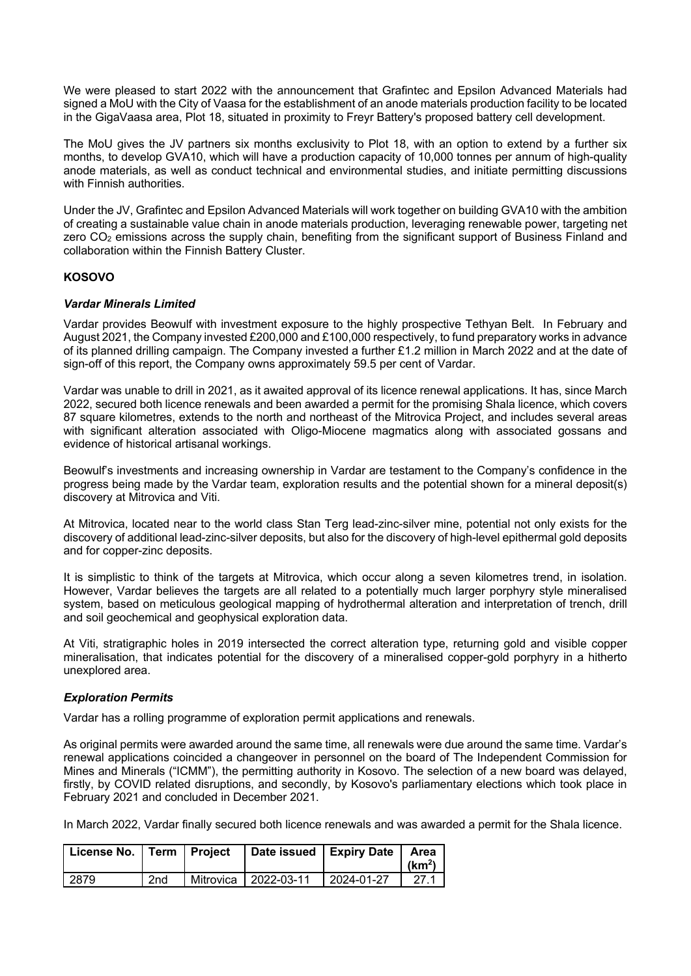We were pleased to start 2022 with the announcement that Grafintec and Epsilon Advanced Materials had signed a MoU with the City of Vaasa for the establishment of an anode materials production facility to be located in the GigaVaasa area, Plot 18, situated in proximity to Freyr Battery's proposed battery cell development.

The MoU gives the JV partners six months exclusivity to Plot 18, with an option to extend by a further six months, to develop GVA10, which will have a production capacity of 10,000 tonnes per annum of high-quality anode materials, as well as conduct technical and environmental studies, and initiate permitting discussions with Finnish authorities.

Under the JV, Grafintec and Epsilon Advanced Materials will work together on building GVA10 with the ambition of creating a sustainable value chain in anode materials production, leveraging renewable power, targeting net zero  $CO<sub>2</sub>$  emissions across the supply chain, benefiting from the significant support of Business Finland and collaboration within the Finnish Battery Cluster.

# **KOSOVO**

## *Vardar Minerals Limited*

Vardar provides Beowulf with investment exposure to the highly prospective Tethyan Belt. In February and August 2021, the Company invested £200,000 and £100,000 respectively, to fund preparatory works in advance of its planned drilling campaign. The Company invested a further £1.2 million in March 2022 and at the date of sign-off of this report, the Company owns approximately 59.5 per cent of Vardar.

Vardar was unable to drill in 2021, as it awaited approval of its licence renewal applications. It has, since March 2022, secured both licence renewals and been awarded a permit for the promising Shala licence, which covers 87 square kilometres, extends to the north and northeast of the Mitrovica Project, and includes several areas with significant alteration associated with Oligo-Miocene magmatics along with associated gossans and evidence of historical artisanal workings.

Beowulf's investments and increasing ownership in Vardar are testament to the Company's confidence in the progress being made by the Vardar team, exploration results and the potential shown for a mineral deposit(s) discovery at Mitrovica and Viti.

At Mitrovica, located near to the world class Stan Terg lead-zinc-silver mine, potential not only exists for the discovery of additional lead-zinc-silver deposits, but also for the discovery of high-level epithermal gold deposits and for copper-zinc deposits.

It is simplistic to think of the targets at Mitrovica, which occur along a seven kilometres trend, in isolation. However, Vardar believes the targets are all related to a potentially much larger porphyry style mineralised system, based on meticulous geological mapping of hydrothermal alteration and interpretation of trench, drill and soil geochemical and geophysical exploration data.

At Viti, stratigraphic holes in 2019 intersected the correct alteration type, returning gold and visible copper mineralisation, that indicates potential for the discovery of a mineralised copper-gold porphyry in a hitherto unexplored area.

#### *Exploration Permits*

Vardar has a rolling programme of exploration permit applications and renewals.

As original permits were awarded around the same time, all renewals were due around the same time. Vardar's renewal applications coincided a changeover in personnel on the board of The Independent Commission for Mines and Minerals ("ICMM"), the permitting authority in Kosovo. The selection of a new board was delayed, firstly, by COVID related disruptions, and secondly, by Kosovo's parliamentary elections which took place in February 2021 and concluded in December 2021.

In March 2022, Vardar finally secured both licence renewals and was awarded a permit for the Shala licence.

| License No.   Term   Project |                 | Date issued   Expiry Date   Area |                   | (km <sup>2</sup> ) |
|------------------------------|-----------------|----------------------------------|-------------------|--------------------|
| 2879                         | 2 <sub>nd</sub> | Mitrovica   2022-03-11           | $12024 - 01 - 27$ | 27.1               |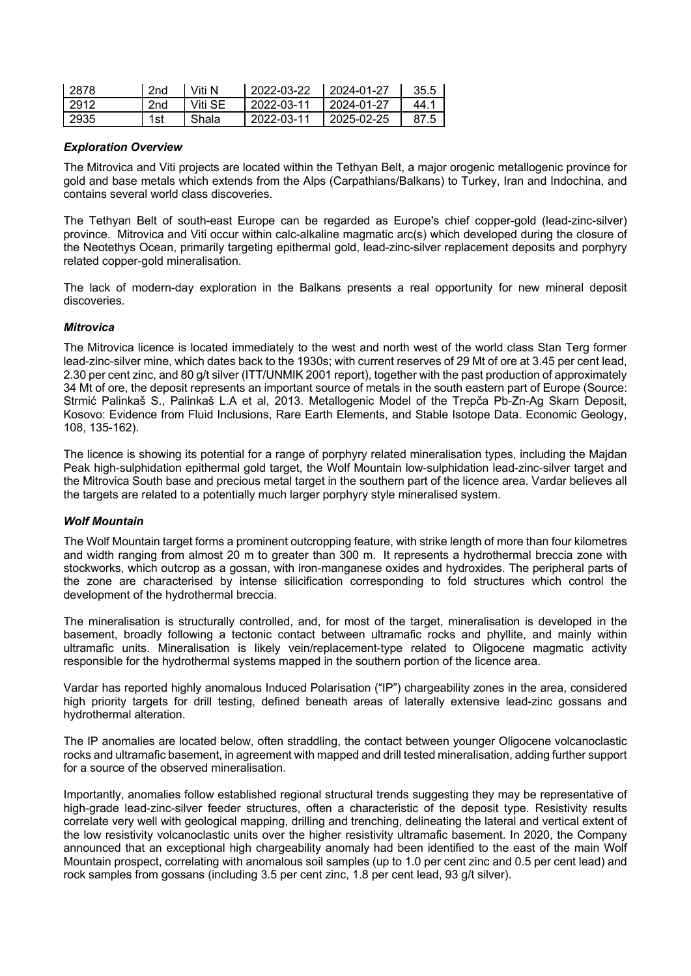| 2878 | 2nd             | Viti N  | 2022-03-22 | 2024-01-27 | 35.5 |
|------|-----------------|---------|------------|------------|------|
| 2912 | 2 <sub>nd</sub> | Viti SE | 2022-03-11 | 2024-01-27 | 44 1 |
| 2935 | 1st             | Shala   | 2022-03-11 | 2025-02-25 |      |

#### *Exploration Overview*

The Mitrovica and Viti projects are located within the Tethyan Belt, a major orogenic metallogenic province for gold and base metals which extends from the Alps (Carpathians/Balkans) to Turkey, Iran and Indochina, and contains several world class discoveries.

The Tethyan Belt of south-east Europe can be regarded as Europe's chief copper-gold (lead-zinc-silver) province. Mitrovica and Viti occur within calc-alkaline magmatic arc(s) which developed during the closure of the Neotethys Ocean, primarily targeting epithermal gold, lead-zinc-silver replacement deposits and porphyry related copper-gold mineralisation.

The lack of modern-day exploration in the Balkans presents a real opportunity for new mineral deposit discoveries.

## *Mitrovica*

The Mitrovica licence is located immediately to the west and north west of the world class Stan Terg former lead-zinc-silver mine, which dates back to the 1930s; with current reserves of 29 Mt of ore at 3.45 per cent lead, 2.30 per cent zinc, and 80 g/t silver (ITT/UNMIK 2001 report), together with the past production of approximately 34 Mt of ore, the deposit represents an important source of metals in the south eastern part of Europe (Source: Strmić Palinkaš S., Palinkaš L.A et al, 2013. Metallogenic Model of the Trepča Pb-Zn-Ag Skarn Deposit, Kosovo: Evidence from Fluid Inclusions, Rare Earth Elements, and Stable Isotope Data. Economic Geology, 108, 135-162).

The licence is showing its potential for a range of porphyry related mineralisation types, including the Majdan Peak high-sulphidation epithermal gold target, the Wolf Mountain low-sulphidation lead-zinc-silver target and the Mitrovica South base and precious metal target in the southern part of the licence area. Vardar believes all the targets are related to a potentially much larger porphyry style mineralised system.

# *Wolf Mountain*

The Wolf Mountain target forms a prominent outcropping feature, with strike length of more than four kilometres and width ranging from almost 20 m to greater than 300 m. It represents a hydrothermal breccia zone with stockworks, which outcrop as a gossan, with iron-manganese oxides and hydroxides. The peripheral parts of the zone are characterised by intense silicification corresponding to fold structures which control the development of the hydrothermal breccia.

The mineralisation is structurally controlled, and, for most of the target, mineralisation is developed in the basement, broadly following a tectonic contact between ultramafic rocks and phyllite, and mainly within ultramafic units. Mineralisation is likely vein/replacement-type related to Oligocene magmatic activity responsible for the hydrothermal systems mapped in the southern portion of the licence area.

Vardar has reported highly anomalous Induced Polarisation ("IP") chargeability zones in the area, considered high priority targets for drill testing, defined beneath areas of laterally extensive lead-zinc gossans and hydrothermal alteration.

The IP anomalies are located below, often straddling, the contact between younger Oligocene volcanoclastic rocks and ultramafic basement, in agreement with mapped and drill tested mineralisation, adding further support for a source of the observed mineralisation.

Importantly, anomalies follow established regional structural trends suggesting they may be representative of high-grade lead-zinc-silver feeder structures, often a characteristic of the deposit type. Resistivity results correlate very well with geological mapping, drilling and trenching, delineating the lateral and vertical extent of the low resistivity volcanoclastic units over the higher resistivity ultramafic basement. In 2020, the Company announced that an exceptional high chargeability anomaly had been identified to the east of the main Wolf Mountain prospect, correlating with anomalous soil samples (up to 1.0 per cent zinc and 0.5 per cent lead) and rock samples from gossans (including 3.5 per cent zinc, 1.8 per cent lead, 93 g/t silver).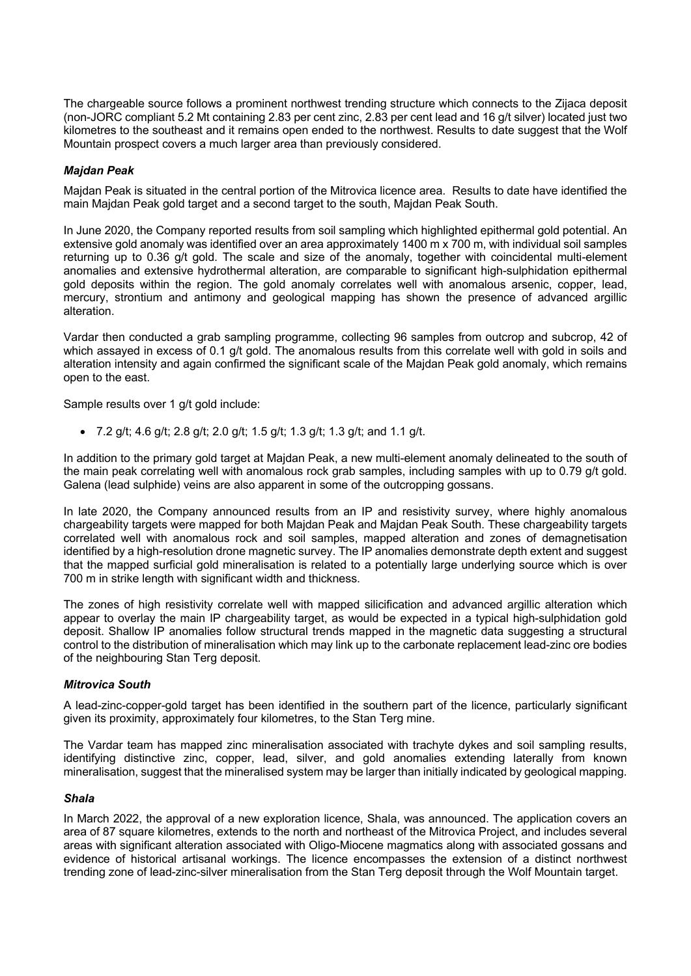The chargeable source follows a prominent northwest trending structure which connects to the Zijaca deposit (non-JORC compliant 5.2 Mt containing 2.83 per cent zinc, 2.83 per cent lead and 16 g/t silver) located just two kilometres to the southeast and it remains open ended to the northwest. Results to date suggest that the Wolf Mountain prospect covers a much larger area than previously considered.

# *Majdan Peak*

Majdan Peak is situated in the central portion of the Mitrovica licence area. Results to date have identified the main Majdan Peak gold target and a second target to the south, Majdan Peak South.

In June 2020, the Company reported results from soil sampling which highlighted epithermal gold potential. An extensive gold anomaly was identified over an area approximately 1400 m x 700 m, with individual soil samples returning up to 0.36 g/t gold. The scale and size of the anomaly, together with coincidental multi-element anomalies and extensive hydrothermal alteration, are comparable to significant high-sulphidation epithermal gold deposits within the region. The gold anomaly correlates well with anomalous arsenic, copper, lead, mercury, strontium and antimony and geological mapping has shown the presence of advanced argillic alteration.

Vardar then conducted a grab sampling programme, collecting 96 samples from outcrop and subcrop, 42 of which assayed in excess of 0.1 g/t gold. The anomalous results from this correlate well with gold in soils and alteration intensity and again confirmed the significant scale of the Majdan Peak gold anomaly, which remains open to the east.

Sample results over 1 g/t gold include:

• 7.2 g/t; 4.6 g/t; 2.8 g/t; 2.0 g/t; 1.5 g/t; 1.3 g/t; 1.3 g/t; and 1.1 g/t.

In addition to the primary gold target at Majdan Peak, a new multi-element anomaly delineated to the south of the main peak correlating well with anomalous rock grab samples, including samples with up to 0.79 g/t gold. Galena (lead sulphide) veins are also apparent in some of the outcropping gossans.

In late 2020, the Company announced results from an IP and resistivity survey, where highly anomalous chargeability targets were mapped for both Majdan Peak and Majdan Peak South. These chargeability targets correlated well with anomalous rock and soil samples, mapped alteration and zones of demagnetisation identified by a high-resolution drone magnetic survey. The IP anomalies demonstrate depth extent and suggest that the mapped surficial gold mineralisation is related to a potentially large underlying source which is over 700 m in strike length with significant width and thickness.

The zones of high resistivity correlate well with mapped silicification and advanced argillic alteration which appear to overlay the main IP chargeability target, as would be expected in a typical high-sulphidation gold deposit. Shallow IP anomalies follow structural trends mapped in the magnetic data suggesting a structural control to the distribution of mineralisation which may link up to the carbonate replacement lead-zinc ore bodies of the neighbouring Stan Terg deposit.

#### *Mitrovica South*

A lead-zinc-copper-gold target has been identified in the southern part of the licence, particularly significant given its proximity, approximately four kilometres, to the Stan Terg mine.

The Vardar team has mapped zinc mineralisation associated with trachyte dykes and soil sampling results, identifying distinctive zinc, copper, lead, silver, and gold anomalies extending laterally from known mineralisation, suggest that the mineralised system may be larger than initially indicated by geological mapping.

#### *Shala*

In March 2022, the approval of a new exploration licence, Shala, was announced. The application covers an area of 87 square kilometres, extends to the north and northeast of the Mitrovica Project, and includes several areas with significant alteration associated with Oligo-Miocene magmatics along with associated gossans and evidence of historical artisanal workings. The licence encompasses the extension of a distinct northwest trending zone of lead-zinc-silver mineralisation from the Stan Terg deposit through the Wolf Mountain target.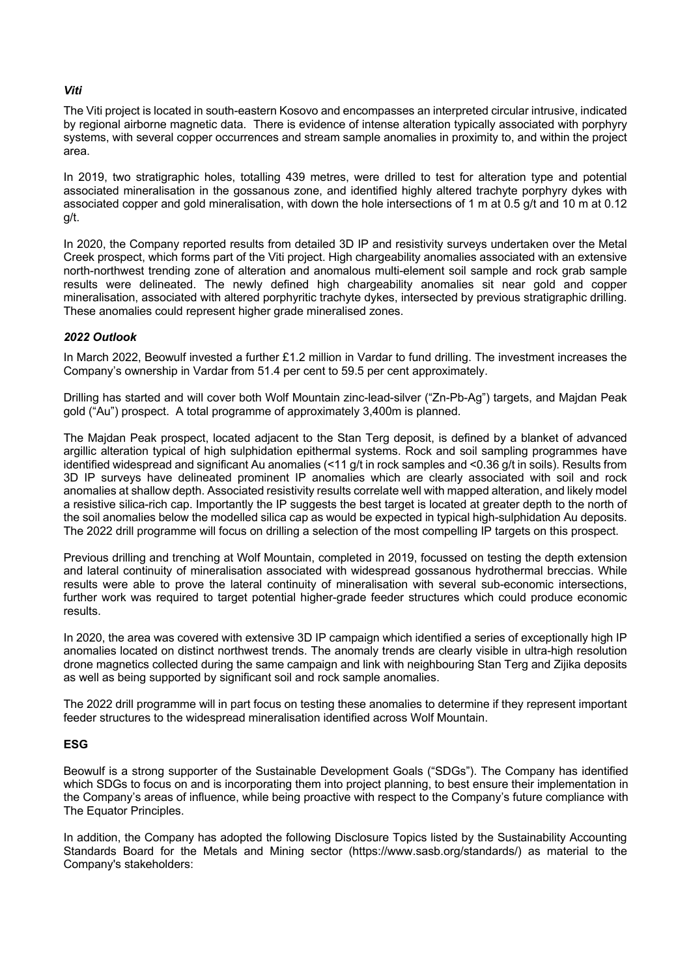# *Viti*

The Viti project is located in south-eastern Kosovo and encompasses an interpreted circular intrusive, indicated by regional airborne magnetic data. There is evidence of intense alteration typically associated with porphyry systems, with several copper occurrences and stream sample anomalies in proximity to, and within the project area.

In 2019, two stratigraphic holes, totalling 439 metres, were drilled to test for alteration type and potential associated mineralisation in the gossanous zone, and identified highly altered trachyte porphyry dykes with associated copper and gold mineralisation, with down the hole intersections of 1 m at 0.5 g/t and 10 m at 0.12 g/t.

In 2020, the Company reported results from detailed 3D IP and resistivity surveys undertaken over the Metal Creek prospect, which forms part of the Viti project. High chargeability anomalies associated with an extensive north-northwest trending zone of alteration and anomalous multi-element soil sample and rock grab sample results were delineated. The newly defined high chargeability anomalies sit near gold and copper mineralisation, associated with altered porphyritic trachyte dykes, intersected by previous stratigraphic drilling. These anomalies could represent higher grade mineralised zones.

# *2022 Outlook*

In March 2022, Beowulf invested a further £1.2 million in Vardar to fund drilling. The investment increases the Company's ownership in Vardar from 51.4 per cent to 59.5 per cent approximately.

Drilling has started and will cover both Wolf Mountain zinc-lead-silver ("Zn-Pb-Ag") targets, and Majdan Peak gold ("Au") prospect. A total programme of approximately 3,400m is planned.

The Majdan Peak prospect, located adjacent to the Stan Terg deposit, is defined by a blanket of advanced argillic alteration typical of high sulphidation epithermal systems. Rock and soil sampling programmes have identified widespread and significant Au anomalies (<11 g/t in rock samples and <0.36 g/t in soils). Results from 3D IP surveys have delineated prominent IP anomalies which are clearly associated with soil and rock anomalies at shallow depth. Associated resistivity results correlate well with mapped alteration, and likely model a resistive silica-rich cap. Importantly the IP suggests the best target is located at greater depth to the north of the soil anomalies below the modelled silica cap as would be expected in typical high-sulphidation Au deposits. The 2022 drill programme will focus on drilling a selection of the most compelling IP targets on this prospect.

Previous drilling and trenching at Wolf Mountain, completed in 2019, focussed on testing the depth extension and lateral continuity of mineralisation associated with widespread gossanous hydrothermal breccias. While results were able to prove the lateral continuity of mineralisation with several sub-economic intersections, further work was required to target potential higher-grade feeder structures which could produce economic results.

In 2020, the area was covered with extensive 3D IP campaign which identified a series of exceptionally high IP anomalies located on distinct northwest trends. The anomaly trends are clearly visible in ultra-high resolution drone magnetics collected during the same campaign and link with neighbouring Stan Terg and Zijika deposits as well as being supported by significant soil and rock sample anomalies.

The 2022 drill programme will in part focus on testing these anomalies to determine if they represent important feeder structures to the widespread mineralisation identified across Wolf Mountain.

# **ESG**

Beowulf is a strong supporter of the Sustainable Development Goals ("SDGs"). The Company has identified which SDGs to focus on and is incorporating them into project planning, to best ensure their implementation in the Company's areas of influence, while being proactive with respect to the Company's future compliance with The Equator Principles.

In addition, the Company has adopted the following Disclosure Topics listed by the Sustainability Accounting Standards Board for the Metals and Mining sector (https://www.sasb.org/standards/) as material to the Company's stakeholders: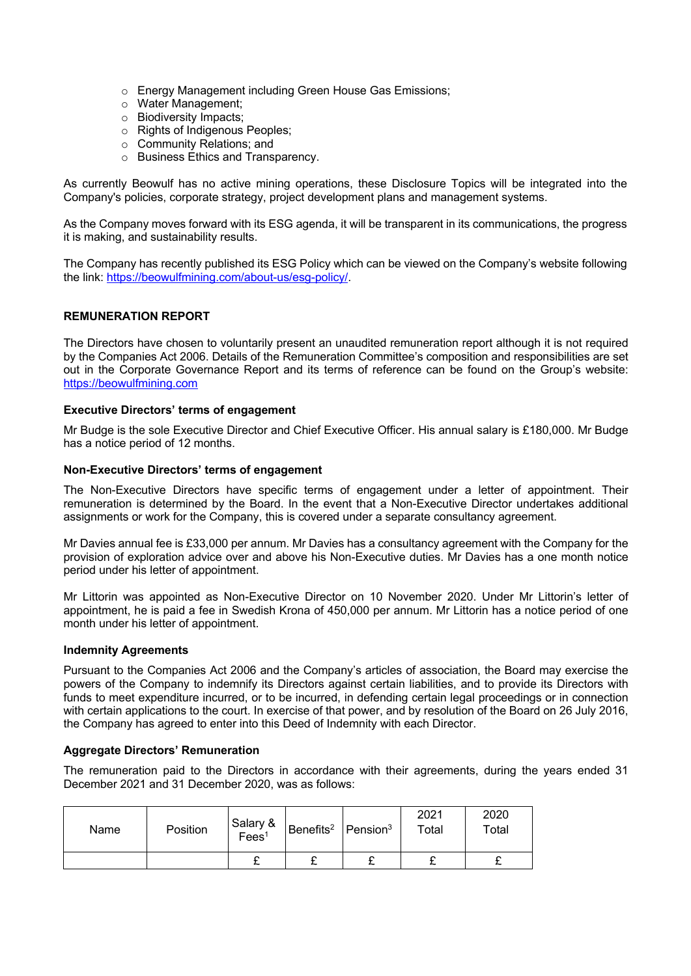- o Energy Management including Green House Gas Emissions;
- o Water Management;
- o Biodiversity Impacts;
- o Rights of Indigenous Peoples;
- o Community Relations; and
- o Business Ethics and Transparency.

As currently Beowulf has no active mining operations, these Disclosure Topics will be integrated into the Company's policies, corporate strategy, project development plans and management systems.

As the Company moves forward with its ESG agenda, it will be transparent in its communications, the progress it is making, and sustainability results.

The Company has recently published its ESG Policy which can be viewed on the Company's website following the link: https://beowulfmining.com/about-us/esg-policy/.

## **REMUNERATION REPORT**

The Directors have chosen to voluntarily present an unaudited remuneration report although it is not required by the Companies Act 2006. Details of the Remuneration Committee's composition and responsibilities are set out in the Corporate Governance Report and its terms of reference can be found on the Group's website: https://beowulfmining.com

#### **Executive Directors' terms of engagement**

Mr Budge is the sole Executive Director and Chief Executive Officer. His annual salary is £180,000. Mr Budge has a notice period of 12 months.

#### **Non-Executive Directors' terms of engagement**

The Non-Executive Directors have specific terms of engagement under a letter of appointment. Their remuneration is determined by the Board. In the event that a Non-Executive Director undertakes additional assignments or work for the Company, this is covered under a separate consultancy agreement.

Mr Davies annual fee is £33,000 per annum. Mr Davies has a consultancy agreement with the Company for the provision of exploration advice over and above his Non-Executive duties. Mr Davies has a one month notice period under his letter of appointment.

Mr Littorin was appointed as Non-Executive Director on 10 November 2020. Under Mr Littorin's letter of appointment, he is paid a fee in Swedish Krona of 450,000 per annum. Mr Littorin has a notice period of one month under his letter of appointment.

#### **Indemnity Agreements**

Pursuant to the Companies Act 2006 and the Company's articles of association, the Board may exercise the powers of the Company to indemnify its Directors against certain liabilities, and to provide its Directors with funds to meet expenditure incurred, or to be incurred, in defending certain legal proceedings or in connection with certain applications to the court. In exercise of that power, and by resolution of the Board on 26 July 2016, the Company has agreed to enter into this Deed of Indemnity with each Director.

# **Aggregate Directors' Remuneration**

The remuneration paid to the Directors in accordance with their agreements, during the years ended 31 December 2021 and 31 December 2020, was as follows:

| Name | Position | Salary &<br>Fees <sup>1</sup> | Benefits <sup>2</sup> Pension <sup>3</sup> | 2021<br>Total | 2020<br>Total |
|------|----------|-------------------------------|--------------------------------------------|---------------|---------------|
|      |          |                               | ~                                          |               | ~             |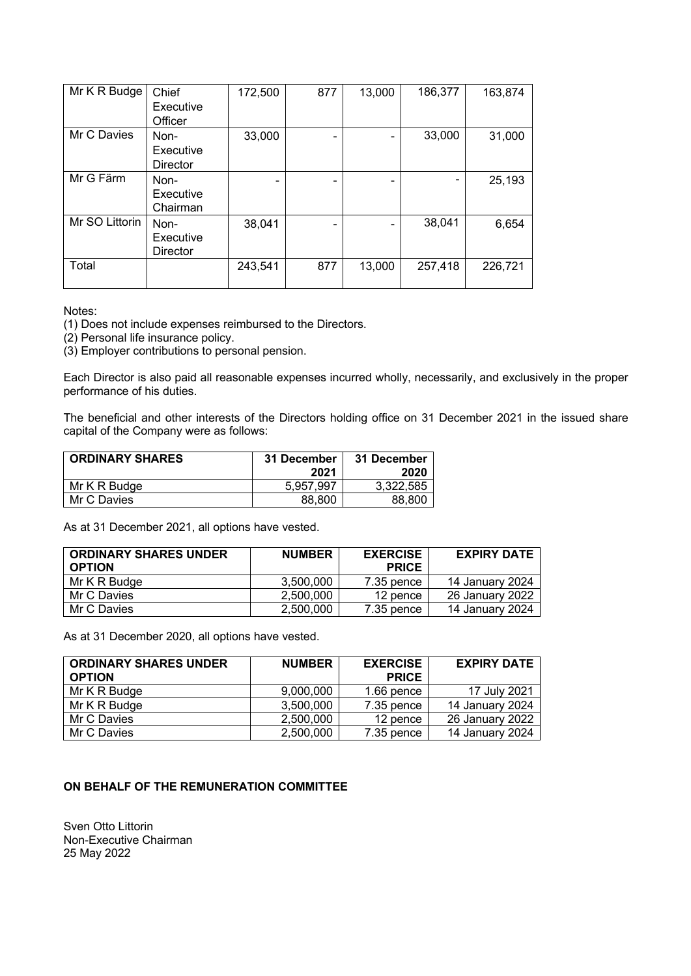| Mr K R Budge   | Chief<br>Executive<br>Officer        | 172,500 | 877 | 13,000 | 186,377 | 163,874 |
|----------------|--------------------------------------|---------|-----|--------|---------|---------|
| Mr C Davies    | Non-<br>Executive<br><b>Director</b> | 33,000  |     |        | 33,000  | 31,000  |
| Mr G Färm      | Non-<br>Executive<br>Chairman        |         |     |        |         | 25,193  |
| Mr SO Littorin | Non-<br>Executive<br><b>Director</b> | 38,041  |     |        | 38,041  | 6,654   |
| Total          |                                      | 243,541 | 877 | 13,000 | 257,418 | 226,721 |

Notes:

(1) Does not include expenses reimbursed to the Directors.

(2) Personal life insurance policy.

(3) Employer contributions to personal pension.

Each Director is also paid all reasonable expenses incurred wholly, necessarily, and exclusively in the proper performance of his duties.

The beneficial and other interests of the Directors holding office on 31 December 2021 in the issued share capital of the Company were as follows:

| <b>ORDINARY SHARES</b> | 31 December | 31 December |
|------------------------|-------------|-------------|
|                        | 2021        | 2020        |
| Mr K R Budge           | 5.957.997   | 3.322.585   |
| Mr C Davies            | 88,800      | 88,800      |

As at 31 December 2021, all options have vested.

| <b>ORDINARY SHARES UNDER</b><br><b>OPTION</b> | <b>NUMBER</b> | <b>EXERCISE</b><br><b>PRICE</b> | <b>EXPIRY DATE</b> |
|-----------------------------------------------|---------------|---------------------------------|--------------------|
| Mr K R Budge                                  | 3,500,000     | 7.35 pence                      | 14 January 2024    |
| Mr C Davies                                   | 2,500,000     | 12 pence                        | 26 January 2022    |
| Mr C Davies                                   | 2,500,000     | 7.35 pence                      | 14 January 2024    |

As at 31 December 2020, all options have vested.

| <b>ORDINARY SHARES UNDER</b><br><b>OPTION</b> | <b>NUMBER</b> | <b>EXERCISE</b><br><b>PRICE</b> | <b>EXPIRY DATE</b> |
|-----------------------------------------------|---------------|---------------------------------|--------------------|
| Mr K R Budge                                  | 9,000,000     | 1.66 pence                      | 17 July 2021       |
| Mr K R Budge                                  | 3,500,000     | 7.35 pence                      | 14 January 2024    |
| Mr C Davies                                   | 2,500,000     | 12 pence                        | 26 January 2022    |
| Mr C Davies                                   | 2,500,000     | 7.35 pence                      | 14 January 2024    |

# **ON BEHALF OF THE REMUNERATION COMMITTEE**

Sven Otto Littorin Non-Executive Chairman 25 May 2022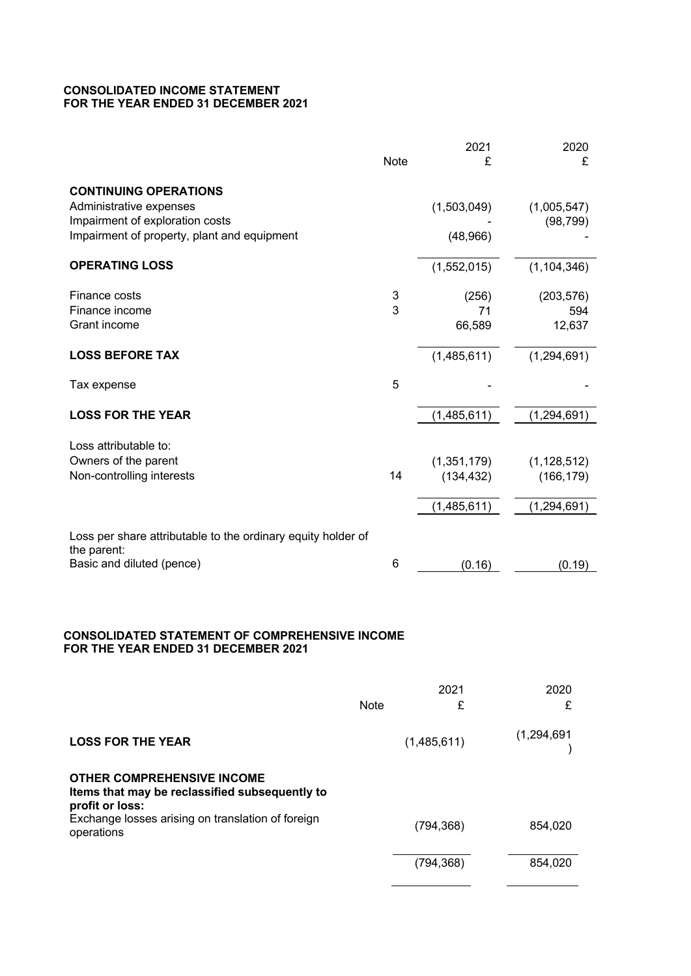## **CONSOLIDATED INCOME STATEMENT FOR THE YEAR ENDED 31 DECEMBER 2021**

|                                                                                                                                                                           | <b>Note</b> | 2021<br>£                                  | 2020<br>£                                    |
|---------------------------------------------------------------------------------------------------------------------------------------------------------------------------|-------------|--------------------------------------------|----------------------------------------------|
| <b>CONTINUING OPERATIONS</b><br>Administrative expenses<br>Impairment of exploration costs<br>Impairment of property, plant and equipment                                 |             | (1,503,049)<br>(48,966)                    | (1,005,547)<br>(98, 799)                     |
| <b>OPERATING LOSS</b>                                                                                                                                                     |             | (1,552,015)                                | (1, 104, 346)                                |
| Finance costs<br>Finance income<br>Grant income                                                                                                                           | 3<br>3      | (256)<br>71<br>66,589                      | (203, 576)<br>594<br>12,637                  |
| <b>LOSS BEFORE TAX</b>                                                                                                                                                    |             | (1,485,611)                                | (1,294,691)                                  |
| Tax expense                                                                                                                                                               | 5           |                                            |                                              |
| <b>LOSS FOR THE YEAR</b>                                                                                                                                                  |             | (1,485,611)                                | (1, 294, 691)                                |
| Loss attributable to:<br>Owners of the parent<br>Non-controlling interests                                                                                                | 14          | (1, 351, 179)<br>(134, 432)<br>(1,485,611) | (1, 128, 512)<br>(166, 179)<br>(1, 294, 691) |
| Loss per share attributable to the ordinary equity holder of<br>the parent:<br>Basic and diluted (pence)                                                                  | 6           | (0.16)                                     | (0.19)                                       |
| <b>CONSOLIDATED STATEMENT OF COMPREHENSIVE INCOME</b><br>FOR THE YEAR ENDED 31 DECEMBER 2021                                                                              |             |                                            |                                              |
|                                                                                                                                                                           | <b>Note</b> | 2021<br>£                                  | 2020<br>£                                    |
| <b>LOSS FOR THE YEAR</b>                                                                                                                                                  |             | (1,485,611)                                | (1, 294, 691)                                |
| <b>OTHER COMPREHENSIVE INCOME</b><br>Items that may be reclassified subsequently to<br>profit or loss:<br>Exchange losses arising on translation of foreign<br>operations |             | (794, 368)                                 | 854,020                                      |

 $(794,368)$  854,020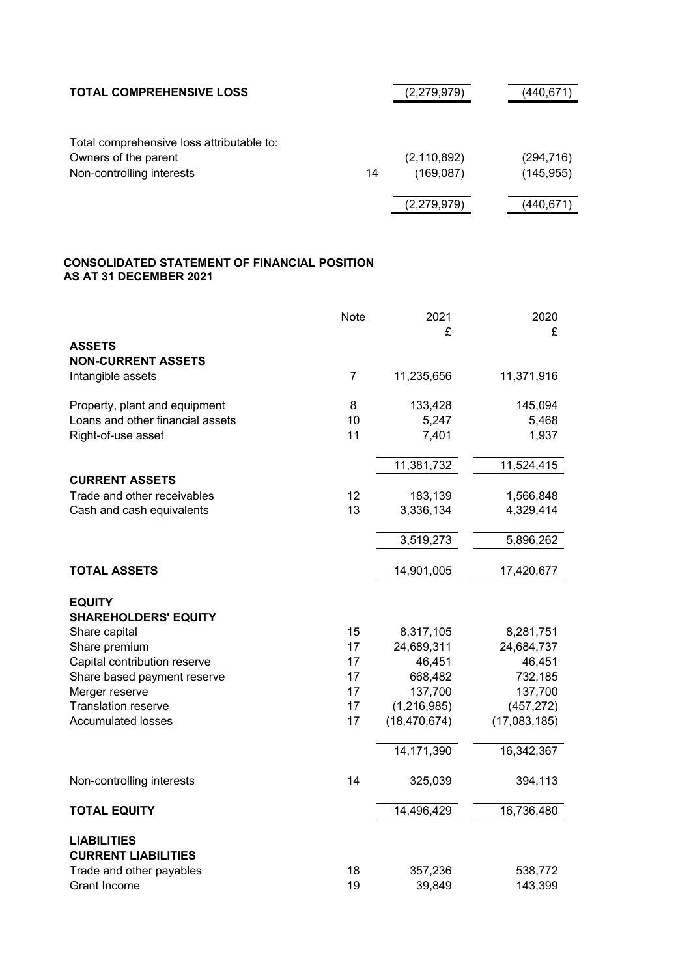| <b>TOTAL COMPREHENSIVE LOSS</b>           |    | (2,279,979)   | (440,671)  |
|-------------------------------------------|----|---------------|------------|
| Total comprehensive loss attributable to: |    |               |            |
| Owners of the parent                      |    | (2, 110, 892) | (294, 716) |
| Non-controlling interests                 | 14 | (169,087)     | (145, 955) |
|                                           |    | (2,279,979)   | (440,671)  |

# **CONSOLIDATED STATEMENT OF FINANCIAL POSITION AS AT 31 DECEMBER 2021**

|                                                  | <b>Note</b>    | 2021           | 2020         |
|--------------------------------------------------|----------------|----------------|--------------|
| <b>ASSETS</b>                                    |                | £              | £            |
| <b>NON-CURRENT ASSETS</b>                        |                |                |              |
| Intangible assets                                | $\overline{7}$ | 11,235,656     | 11,371,916   |
| Property, plant and equipment                    | 8              | 133,428        | 145,094      |
| Loans and other financial assets                 | 10             | 5,247          | 5,468        |
| Right-of-use asset                               | 11             | 7,401          | 1,937        |
|                                                  |                | 11,381,732     | 11,524,415   |
| <b>CURRENT ASSETS</b>                            |                |                |              |
| Trade and other receivables                      | 12             | 183,139        | 1,566,848    |
| Cash and cash equivalents                        | 13             | 3,336,134      | 4,329,414    |
|                                                  |                | 3,519,273      | 5,896,262    |
| <b>TOTAL ASSETS</b>                              |                | 14,901,005     | 17,420,677   |
|                                                  |                |                |              |
| <b>EQUITY</b>                                    |                |                |              |
| <b>SHAREHOLDERS' EQUITY</b>                      |                |                |              |
| Share capital                                    | 15             | 8,317,105      | 8,281,751    |
| Share premium                                    | 17             | 24,689,311     | 24,684,737   |
| Capital contribution reserve                     | 17             | 46,451         | 46,451       |
| Share based payment reserve                      | 17             | 668,482        | 732,185      |
| Merger reserve                                   | 17             | 137,700        | 137,700      |
| <b>Translation reserve</b>                       | 17             | (1, 216, 985)  | (457, 272)   |
| <b>Accumulated losses</b>                        | 17             | (18, 470, 674) | (17,083,185) |
|                                                  |                | 14,171,390     | 16,342,367   |
| Non-controlling interests                        | 14             | 325,039        | 394,113      |
| <b>TOTAL EQUITY</b>                              |                | 14,496,429     | 16,736,480   |
|                                                  |                |                |              |
| <b>LIABILITIES</b><br><b>CURRENT LIABILITIES</b> |                |                |              |
| Trade and other payables                         | 18             | 357,236        | 538,772      |
| <b>Grant Income</b>                              | 19             | 39,849         | 143,399      |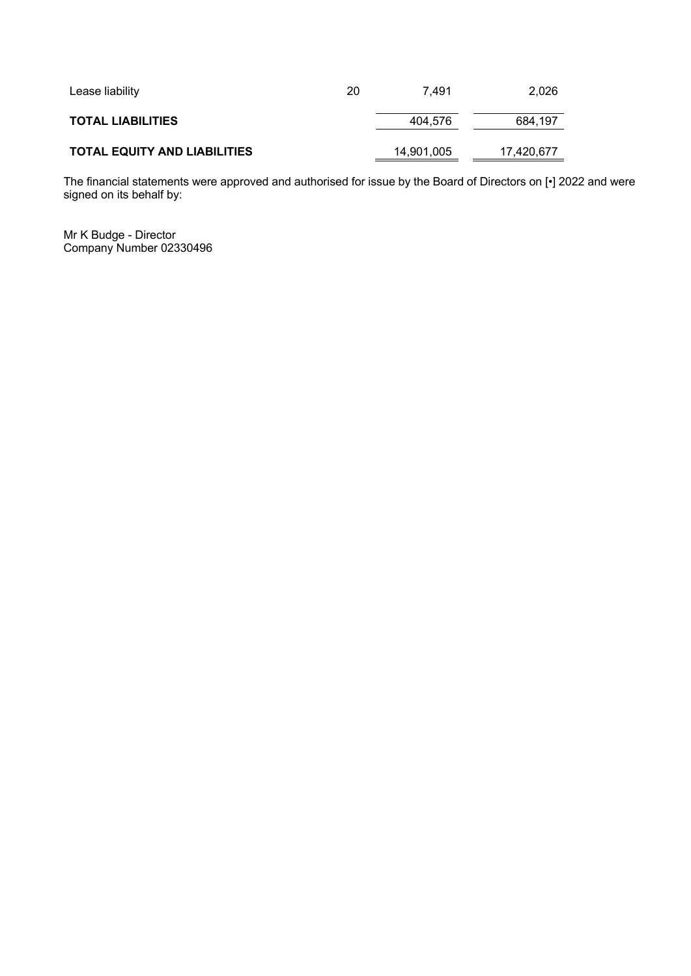| Lease liability                     | 20 | 7.491      | 2.026      |
|-------------------------------------|----|------------|------------|
| <b>TOTAL LIABILITIES</b>            |    | 404,576    | 684,197    |
| <b>TOTAL EQUITY AND LIABILITIES</b> |    | 14,901,005 | 17,420,677 |

The financial statements were approved and authorised for issue by the Board of Directors on [•] 2022 and were signed on its behalf by:

Mr K Budge - Director Company Number 02330496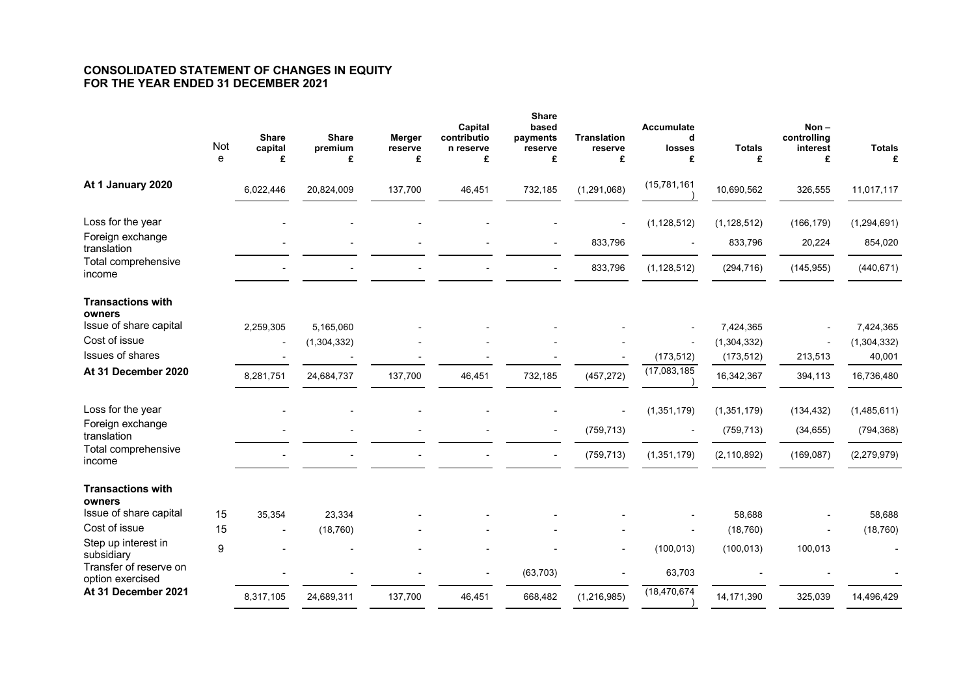# **CONSOLIDATED STATEMENT OF CHANGES IN EQUITY FOR THE YEAR ENDED 31 DECEMBER 2021**

|                                         | Not<br>e         | <b>Share</b><br>capital<br>£ | <b>Share</b><br>premium<br>£ | <b>Merger</b><br>reserve<br>£ | Capital<br>contributio<br>n reserve<br>£ | <b>Share</b><br>based<br>payments<br>reserve<br>£ | <b>Translation</b><br>reserve<br>£ | <b>Accumulate</b><br>d<br>losses<br>£ | <b>Totals</b><br>£        | $Non -$<br>controlling<br>interest<br>£ | <b>Totals</b><br>£    |
|-----------------------------------------|------------------|------------------------------|------------------------------|-------------------------------|------------------------------------------|---------------------------------------------------|------------------------------------|---------------------------------------|---------------------------|-----------------------------------------|-----------------------|
|                                         |                  |                              |                              |                               |                                          |                                                   |                                    |                                       |                           |                                         |                       |
| At 1 January 2020                       |                  | 6,022,446                    | 20,824,009                   | 137,700                       | 46,451                                   | 732,185                                           | (1, 291, 068)                      | (15,781,161)                          | 10,690,562                | 326,555                                 | 11,017,117            |
| Loss for the year                       |                  |                              |                              |                               |                                          |                                                   |                                    | (1, 128, 512)                         | (1, 128, 512)             | (166, 179)                              | (1, 294, 691)         |
| Foreign exchange<br>translation         |                  |                              |                              |                               |                                          |                                                   | 833,796                            |                                       | 833,796                   | 20,224                                  | 854,020               |
| Total comprehensive<br>income           |                  |                              |                              |                               |                                          |                                                   | 833,796                            | (1, 128, 512)                         | (294, 716)                | (145, 955)                              | (440, 671)            |
| <b>Transactions with</b>                |                  |                              |                              |                               |                                          |                                                   |                                    |                                       |                           |                                         |                       |
| owners                                  |                  |                              |                              |                               |                                          |                                                   |                                    |                                       |                           |                                         |                       |
| Issue of share capital<br>Cost of issue |                  | 2,259,305                    | 5,165,060                    |                               |                                          |                                                   |                                    |                                       | 7,424,365                 |                                         | 7,424,365             |
| <b>Issues of shares</b>                 |                  | $\overline{\phantom{a}}$     | (1,304,332)                  |                               |                                          |                                                   |                                    | (173, 512)                            | (1,304,332)<br>(173, 512) | 213,513                                 | (1,304,332)<br>40,001 |
| At 31 December 2020                     |                  |                              |                              | 137,700                       |                                          |                                                   |                                    | (17,083,185)                          | 16,342,367                |                                         |                       |
|                                         |                  | 8,281,751                    | 24,684,737                   |                               | 46,451                                   | 732,185                                           | (457, 272)                         |                                       |                           | 394,113                                 | 16,736,480            |
| Loss for the year                       |                  |                              |                              |                               |                                          |                                                   | $\blacksquare$                     | (1, 351, 179)                         | (1, 351, 179)             | (134, 432)                              | (1,485,611)           |
| Foreign exchange<br>translation         |                  |                              |                              |                               |                                          |                                                   | (759, 713)                         |                                       | (759, 713)                | (34, 655)                               | (794, 368)            |
| Total comprehensive<br>income           |                  |                              |                              |                               |                                          |                                                   | (759, 713)                         | (1,351,179)                           | (2, 110, 892)             | (169, 087)                              | (2, 279, 979)         |
| <b>Transactions with</b>                |                  |                              |                              |                               |                                          |                                                   |                                    |                                       |                           |                                         |                       |
| owners                                  |                  |                              |                              |                               |                                          |                                                   |                                    |                                       |                           |                                         |                       |
| Issue of share capital<br>Cost of issue | 15               | 35,354                       | 23,334                       |                               |                                          |                                                   |                                    |                                       | 58,688                    |                                         | 58,688                |
| Step up interest in                     | 15               | $\overline{\phantom{a}}$     | (18, 760)                    |                               |                                          |                                                   |                                    |                                       | (18, 760)                 |                                         | (18, 760)             |
| subsidiary<br>Transfer of reserve on    | $\boldsymbol{9}$ |                              |                              |                               |                                          |                                                   |                                    | (100, 013)                            | (100, 013)                | 100,013                                 |                       |
| option exercised                        |                  |                              |                              |                               |                                          | (63, 703)                                         |                                    | 63,703                                |                           |                                         |                       |
| At 31 December 2021                     |                  | 8,317,105                    | 24,689,311                   | 137,700                       | 46,451                                   | 668,482                                           | (1, 216, 985)                      | (18, 470, 674)                        | 14,171,390                | 325,039                                 | 14,496,429            |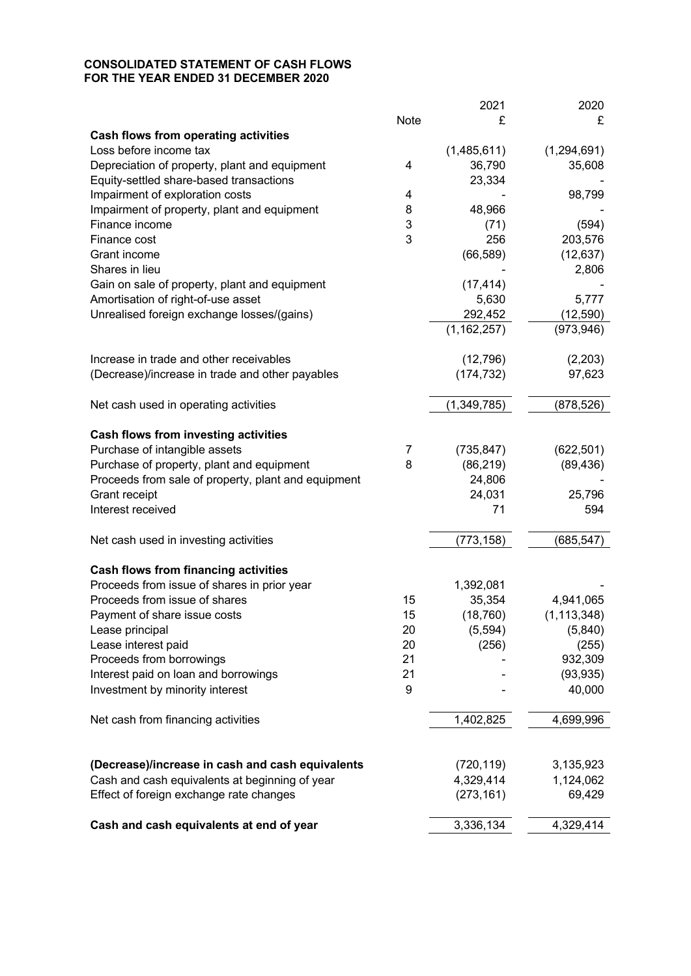# **CONSOLIDATED STATEMENT OF CASH FLOWS FOR THE YEAR ENDED 31 DECEMBER 2020**

|                                                     |      | 2021          | 2020          |
|-----------------------------------------------------|------|---------------|---------------|
|                                                     | Note | £             | £             |
| <b>Cash flows from operating activities</b>         |      |               |               |
| Loss before income tax                              |      | (1,485,611)   | (1,294,691)   |
| Depreciation of property, plant and equipment       | 4    | 36,790        | 35,608        |
| Equity-settled share-based transactions             |      | 23,334        |               |
| Impairment of exploration costs                     | 4    |               | 98,799        |
| Impairment of property, plant and equipment         | 8    | 48,966        |               |
| Finance income                                      | 3    | (71)          | (594)         |
| Finance cost                                        | 3    | 256           | 203,576       |
| Grant income                                        |      | (66, 589)     | (12, 637)     |
| Shares in lieu                                      |      |               | 2,806         |
| Gain on sale of property, plant and equipment       |      | (17, 414)     |               |
| Amortisation of right-of-use asset                  |      | 5,630         | 5,777         |
| Unrealised foreign exchange losses/(gains)          |      | 292,452       | (12, 590)     |
|                                                     |      | (1, 162, 257) | (973, 946)    |
| Increase in trade and other receivables             |      | (12,796)      | (2,203)       |
| (Decrease)/increase in trade and other payables     |      | (174, 732)    | 97,623        |
|                                                     |      |               |               |
| Net cash used in operating activities               |      | (1, 349, 785) | (878, 526)    |
| <b>Cash flows from investing activities</b>         |      |               |               |
| Purchase of intangible assets                       | 7    | (735, 847)    | (622, 501)    |
| Purchase of property, plant and equipment           | 8    | (86, 219)     | (89, 436)     |
| Proceeds from sale of property, plant and equipment |      | 24,806        |               |
| Grant receipt                                       |      | 24,031        | 25,796        |
| Interest received                                   |      | 71            | 594           |
| Net cash used in investing activities               |      | (773, 158)    | (685, 547)    |
|                                                     |      |               |               |
| <b>Cash flows from financing activities</b>         |      |               |               |
| Proceeds from issue of shares in prior year         |      | 1,392,081     |               |
| Proceeds from issue of shares                       | 15   | 35,354        | 4,941,065     |
| Payment of share issue costs                        | 15   | (18, 760)     | (1, 113, 348) |
| Lease principal                                     | 20   | (5,594)       | (5,840)       |
| Lease interest paid                                 | 20   | (256)         | (255)         |
| Proceeds from borrowings                            | 21   |               | 932,309       |
| Interest paid on loan and borrowings                | 21   |               | (93, 935)     |
| Investment by minority interest                     | 9    |               | 40,000        |
| Net cash from financing activities                  |      | 1,402,825     | 4,699,996     |
|                                                     |      |               |               |
| (Decrease)/increase in cash and cash equivalents    |      | (720, 119)    | 3,135,923     |
| Cash and cash equivalents at beginning of year      |      | 4,329,414     | 1,124,062     |
| Effect of foreign exchange rate changes             |      | (273, 161)    | 69,429        |
| Cash and cash equivalents at end of year            |      | 3,336,134     | 4,329,414     |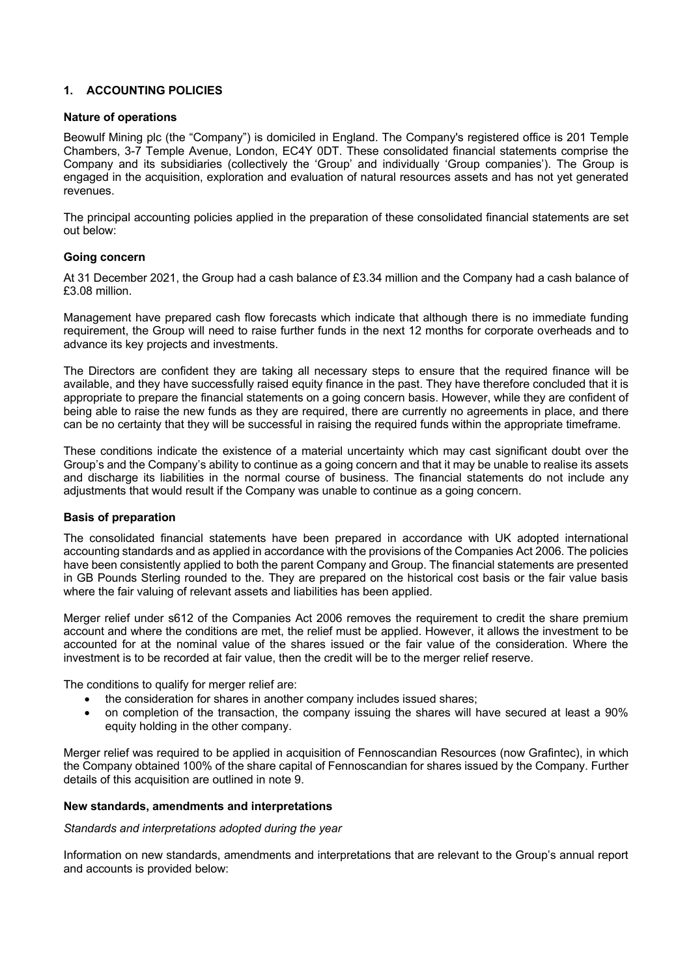# **1. ACCOUNTING POLICIES**

## **Nature of operations**

Beowulf Mining plc (the "Company") is domiciled in England. The Company's registered office is 201 Temple Chambers, 3-7 Temple Avenue, London, EC4Y 0DT. These consolidated financial statements comprise the Company and its subsidiaries (collectively the 'Group' and individually 'Group companies'). The Group is engaged in the acquisition, exploration and evaluation of natural resources assets and has not yet generated revenues.

The principal accounting policies applied in the preparation of these consolidated financial statements are set out below:

## **Going concern**

At 31 December 2021, the Group had a cash balance of £3.34 million and the Company had a cash balance of £3.08 million.

Management have prepared cash flow forecasts which indicate that although there is no immediate funding requirement, the Group will need to raise further funds in the next 12 months for corporate overheads and to advance its key projects and investments.

The Directors are confident they are taking all necessary steps to ensure that the required finance will be available, and they have successfully raised equity finance in the past. They have therefore concluded that it is appropriate to prepare the financial statements on a going concern basis. However, while they are confident of being able to raise the new funds as they are required, there are currently no agreements in place, and there can be no certainty that they will be successful in raising the required funds within the appropriate timeframe.

These conditions indicate the existence of a material uncertainty which may cast significant doubt over the Group's and the Company's ability to continue as a going concern and that it may be unable to realise its assets and discharge its liabilities in the normal course of business. The financial statements do not include any adjustments that would result if the Company was unable to continue as a going concern.

#### **Basis of preparation**

The consolidated financial statements have been prepared in accordance with UK adopted international accounting standards and as applied in accordance with the provisions of the Companies Act 2006. The policies have been consistently applied to both the parent Company and Group. The financial statements are presented in GB Pounds Sterling rounded to the. They are prepared on the historical cost basis or the fair value basis where the fair valuing of relevant assets and liabilities has been applied.

Merger relief under s612 of the Companies Act 2006 removes the requirement to credit the share premium account and where the conditions are met, the relief must be applied. However, it allows the investment to be accounted for at the nominal value of the shares issued or the fair value of the consideration. Where the investment is to be recorded at fair value, then the credit will be to the merger relief reserve.

The conditions to qualify for merger relief are:

- the consideration for shares in another company includes issued shares;
- on completion of the transaction, the company issuing the shares will have secured at least a 90% equity holding in the other company.

Merger relief was required to be applied in acquisition of Fennoscandian Resources (now Grafintec), in which the Company obtained 100% of the share capital of Fennoscandian for shares issued by the Company. Further details of this acquisition are outlined in note 9.

#### **New standards, amendments and interpretations**

*Standards and interpretations adopted during the year*

Information on new standards, amendments and interpretations that are relevant to the Group's annual report and accounts is provided below: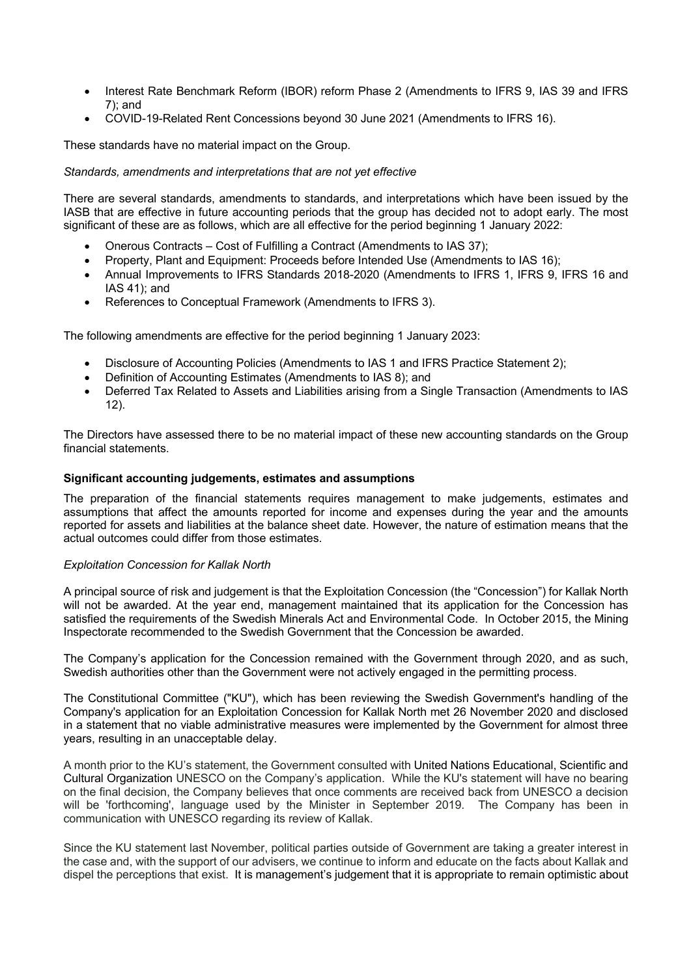- Interest Rate Benchmark Reform (IBOR) reform Phase 2 (Amendments to IFRS 9, IAS 39 and IFRS 7); and
- COVID-19-Related Rent Concessions beyond 30 June 2021 (Amendments to IFRS 16).

These standards have no material impact on the Group.

### *Standards, amendments and interpretations that are not yet effective*

There are several standards, amendments to standards, and interpretations which have been issued by the IASB that are effective in future accounting periods that the group has decided not to adopt early. The most significant of these are as follows, which are all effective for the period beginning 1 January 2022:

- Onerous Contracts Cost of Fulfilling a Contract (Amendments to IAS 37);
- Property, Plant and Equipment: Proceeds before Intended Use (Amendments to IAS 16):
- Annual Improvements to IFRS Standards 2018-2020 (Amendments to IFRS 1, IFRS 9, IFRS 16 and IAS 41); and
- References to Conceptual Framework (Amendments to IFRS 3).

The following amendments are effective for the period beginning 1 January 2023:

- Disclosure of Accounting Policies (Amendments to IAS 1 and IFRS Practice Statement 2);
- Definition of Accounting Estimates (Amendments to IAS 8); and
- Deferred Tax Related to Assets and Liabilities arising from a Single Transaction (Amendments to IAS 12).

The Directors have assessed there to be no material impact of these new accounting standards on the Group financial statements.

#### **Significant accounting judgements, estimates and assumptions**

The preparation of the financial statements requires management to make judgements, estimates and assumptions that affect the amounts reported for income and expenses during the year and the amounts reported for assets and liabilities at the balance sheet date. However, the nature of estimation means that the actual outcomes could differ from those estimates.

#### *Exploitation Concession for Kallak North*

A principal source of risk and judgement is that the Exploitation Concession (the "Concession") for Kallak North will not be awarded. At the year end, management maintained that its application for the Concession has satisfied the requirements of the Swedish Minerals Act and Environmental Code. In October 2015, the Mining Inspectorate recommended to the Swedish Government that the Concession be awarded.

The Company's application for the Concession remained with the Government through 2020, and as such, Swedish authorities other than the Government were not actively engaged in the permitting process.

The Constitutional Committee ("KU"), which has been reviewing the Swedish Government's handling of the Company's application for an Exploitation Concession for Kallak North met 26 November 2020 and disclosed in a statement that no viable administrative measures were implemented by the Government for almost three years, resulting in an unacceptable delay.

A month prior to the KU's statement, the Government consulted with United Nations Educational, Scientific and Cultural Organization UNESCO on the Company's application. While the KU's statement will have no bearing on the final decision, the Company believes that once comments are received back from UNESCO a decision will be 'forthcoming', language used by the Minister in September 2019. The Company has been in communication with UNESCO regarding its review of Kallak.

Since the KU statement last November, political parties outside of Government are taking a greater interest in the case and, with the support of our advisers, we continue to inform and educate on the facts about Kallak and dispel the perceptions that exist. It is management's judgement that it is appropriate to remain optimistic about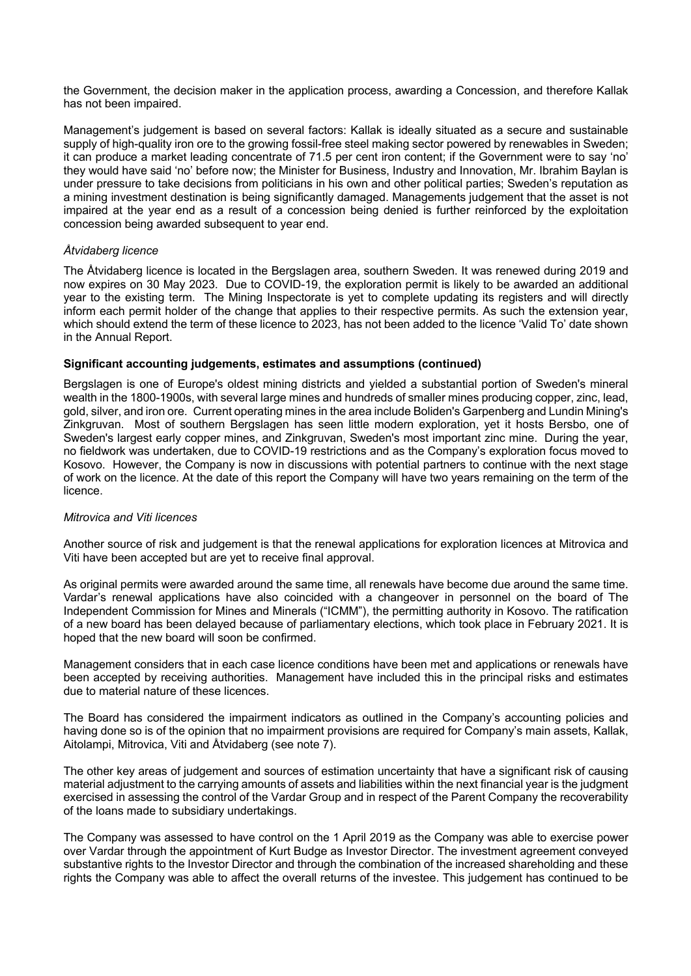the Government, the decision maker in the application process, awarding a Concession, and therefore Kallak has not been impaired.

Management's judgement is based on several factors: Kallak is ideally situated as a secure and sustainable supply of high-quality iron ore to the growing fossil-free steel making sector powered by renewables in Sweden; it can produce a market leading concentrate of 71.5 per cent iron content; if the Government were to say 'no' they would have said 'no' before now; the Minister for Business, Industry and Innovation, Mr. Ibrahim Baylan is under pressure to take decisions from politicians in his own and other political parties; Sweden's reputation as a mining investment destination is being significantly damaged. Managements judgement that the asset is not impaired at the year end as a result of a concession being denied is further reinforced by the exploitation concession being awarded subsequent to year end.

## *Åtvidaberg licence*

The Åtvidaberg licence is located in the Bergslagen area, southern Sweden. It was renewed during 2019 and now expires on 30 May 2023. Due to COVID-19, the exploration permit is likely to be awarded an additional year to the existing term. The Mining Inspectorate is yet to complete updating its registers and will directly inform each permit holder of the change that applies to their respective permits. As such the extension year, which should extend the term of these licence to 2023, has not been added to the licence 'Valid To' date shown in the Annual Report.

#### **Significant accounting judgements, estimates and assumptions (continued)**

Bergslagen is one of Europe's oldest mining districts and yielded a substantial portion of Sweden's mineral wealth in the 1800-1900s, with several large mines and hundreds of smaller mines producing copper, zinc, lead, gold, silver, and iron ore. Current operating mines in the area include Boliden's Garpenberg and Lundin Mining's Zinkgruvan. Most of southern Bergslagen has seen little modern exploration, yet it hosts Bersbo, one of Sweden's largest early copper mines, and Zinkgruvan, Sweden's most important zinc mine. During the year, no fieldwork was undertaken, due to COVID-19 restrictions and as the Company's exploration focus moved to Kosovo. However, the Company is now in discussions with potential partners to continue with the next stage of work on the licence. At the date of this report the Company will have two years remaining on the term of the licence.

#### *Mitrovica and Viti licences*

Another source of risk and judgement is that the renewal applications for exploration licences at Mitrovica and Viti have been accepted but are yet to receive final approval.

As original permits were awarded around the same time, all renewals have become due around the same time. Vardar's renewal applications have also coincided with a changeover in personnel on the board of The Independent Commission for Mines and Minerals ("ICMM"), the permitting authority in Kosovo. The ratification of a new board has been delayed because of parliamentary elections, which took place in February 2021. It is hoped that the new board will soon be confirmed.

Management considers that in each case licence conditions have been met and applications or renewals have been accepted by receiving authorities. Management have included this in the principal risks and estimates due to material nature of these licences.

The Board has considered the impairment indicators as outlined in the Company's accounting policies and having done so is of the opinion that no impairment provisions are required for Company's main assets, Kallak, Aitolampi, Mitrovica, Viti and Åtvidaberg (see note 7).

The other key areas of judgement and sources of estimation uncertainty that have a significant risk of causing material adjustment to the carrying amounts of assets and liabilities within the next financial year is the judgment exercised in assessing the control of the Vardar Group and in respect of the Parent Company the recoverability of the loans made to subsidiary undertakings.

The Company was assessed to have control on the 1 April 2019 as the Company was able to exercise power over Vardar through the appointment of Kurt Budge as Investor Director. The investment agreement conveyed substantive rights to the Investor Director and through the combination of the increased shareholding and these rights the Company was able to affect the overall returns of the investee. This judgement has continued to be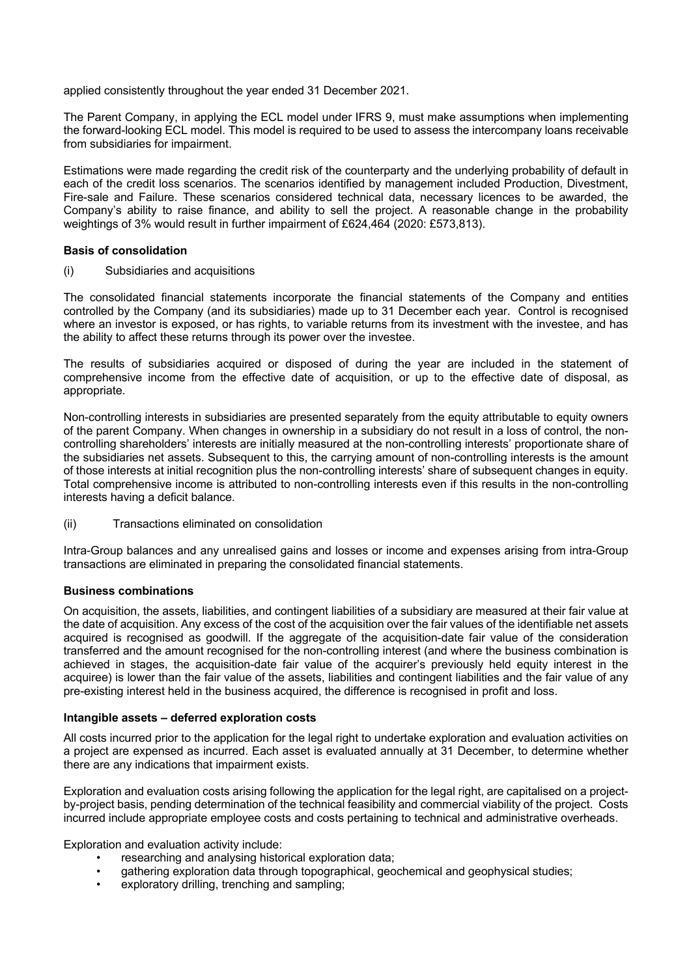applied consistently throughout the year ended 31 December 2021.

The Parent Company, in applying the ECL model under IFRS 9, must make assumptions when implementing the forward-looking ECL model. This model is required to be used to assess the intercompany loans receivable from subsidiaries for impairment.

Estimations were made regarding the credit risk of the counterparty and the underlying probability of default in each of the credit loss scenarios. The scenarios identified by management included Production, Divestment, Fire-sale and Failure. These scenarios considered technical data, necessary licences to be awarded, the Company's ability to raise finance, and ability to sell the project. A reasonable change in the probability weightings of 3% would result in further impairment of £624,464 (2020: £573,813).

## **Basis of consolidation**

(i) Subsidiaries and acquisitions

The consolidated financial statements incorporate the financial statements of the Company and entities controlled by the Company (and its subsidiaries) made up to 31 December each year. Control is recognised where an investor is exposed, or has rights, to variable returns from its investment with the investee, and has the ability to affect these returns through its power over the investee.

The results of subsidiaries acquired or disposed of during the year are included in the statement of comprehensive income from the effective date of acquisition, or up to the effective date of disposal, as appropriate.

Non-controlling interests in subsidiaries are presented separately from the equity attributable to equity owners of the parent Company. When changes in ownership in a subsidiary do not result in a loss of control, the noncontrolling shareholders' interests are initially measured at the non-controlling interests' proportionate share of the subsidiaries net assets. Subsequent to this, the carrying amount of non-controlling interests is the amount of those interests at initial recognition plus the non-controlling interests' share of subsequent changes in equity. Total comprehensive income is attributed to non-controlling interests even if this results in the non-controlling interests having a deficit balance.

(ii) Transactions eliminated on consolidation

Intra-Group balances and any unrealised gains and losses or income and expenses arising from intra-Group transactions are eliminated in preparing the consolidated financial statements.

# **Business combinations**

On acquisition, the assets, liabilities, and contingent liabilities of a subsidiary are measured at their fair value at the date of acquisition. Any excess of the cost of the acquisition over the fair values of the identifiable net assets acquired is recognised as goodwill. If the aggregate of the acquisition-date fair value of the consideration transferred and the amount recognised for the non-controlling interest (and where the business combination is achieved in stages, the acquisition-date fair value of the acquirer's previously held equity interest in the acquiree) is lower than the fair value of the assets, liabilities and contingent liabilities and the fair value of any pre-existing interest held in the business acquired, the difference is recognised in profit and loss.

#### **Intangible assets – deferred exploration costs**

All costs incurred prior to the application for the legal right to undertake exploration and evaluation activities on a project are expensed as incurred. Each asset is evaluated annually at 31 December, to determine whether there are any indications that impairment exists.

Exploration and evaluation costs arising following the application for the legal right, are capitalised on a projectby-project basis, pending determination of the technical feasibility and commercial viability of the project. Costs incurred include appropriate employee costs and costs pertaining to technical and administrative overheads.

Exploration and evaluation activity include:

- researching and analysing historical exploration data;
- gathering exploration data through topographical, geochemical and geophysical studies;
- exploratory drilling, trenching and sampling: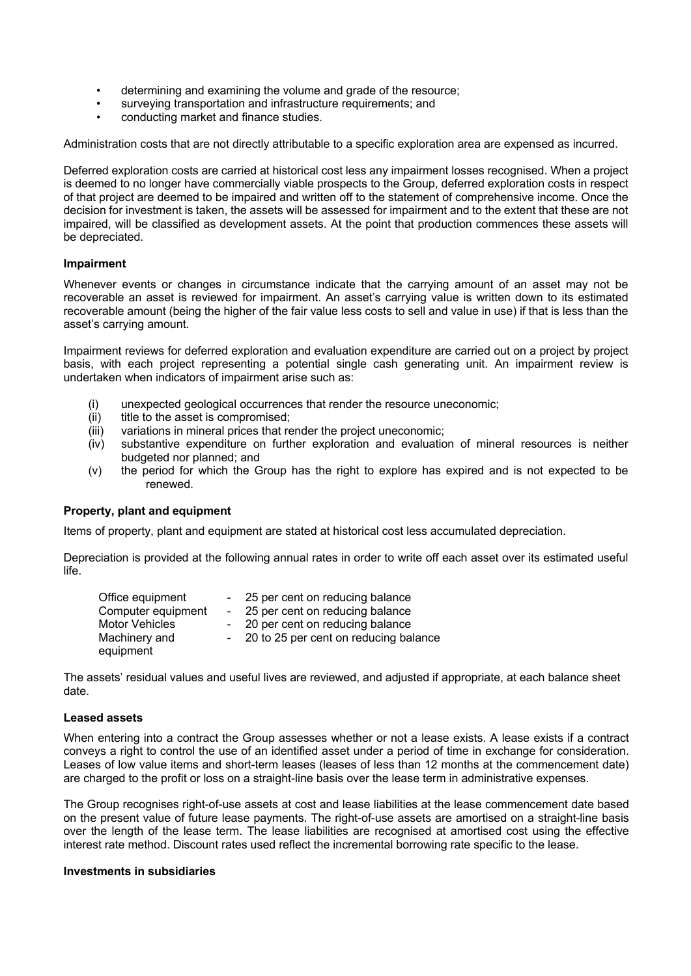- determining and examining the volume and grade of the resource;
- surveying transportation and infrastructure requirements; and
- conducting market and finance studies.

Administration costs that are not directly attributable to a specific exploration area are expensed as incurred.

Deferred exploration costs are carried at historical cost less any impairment losses recognised. When a project is deemed to no longer have commercially viable prospects to the Group, deferred exploration costs in respect of that project are deemed to be impaired and written off to the statement of comprehensive income. Once the decision for investment is taken, the assets will be assessed for impairment and to the extent that these are not impaired, will be classified as development assets. At the point that production commences these assets will be depreciated.

## **Impairment**

Whenever events or changes in circumstance indicate that the carrying amount of an asset may not be recoverable an asset is reviewed for impairment. An asset's carrying value is written down to its estimated recoverable amount (being the higher of the fair value less costs to sell and value in use) if that is less than the asset's carrying amount.

Impairment reviews for deferred exploration and evaluation expenditure are carried out on a project by project basis, with each project representing a potential single cash generating unit. An impairment review is undertaken when indicators of impairment arise such as:

- (i) unexpected geological occurrences that render the resource uneconomic;
- (ii) title to the asset is compromised;
- (iii) variations in mineral prices that render the project uneconomic;
- (iv) substantive expenditure on further exploration and evaluation of mineral resources is neither budgeted nor planned; and
- (v) the period for which the Group has the right to explore has expired and is not expected to be renewed.

#### **Property, plant and equipment**

Items of property, plant and equipment are stated at historical cost less accumulated depreciation.

Depreciation is provided at the following annual rates in order to write off each asset over its estimated useful life.

| Office equipment   | - 25 per cent on reducing balance       |
|--------------------|-----------------------------------------|
| Computer equipment | - 25 per cent on reducing balance       |
| Motor Vehicles     | - 20 per cent on reducing balance       |
| Machinery and      | - 20 to 25 per cent on reducing balance |
| equipment          |                                         |

The assets' residual values and useful lives are reviewed, and adjusted if appropriate, at each balance sheet date.

## **Leased assets**

When entering into a contract the Group assesses whether or not a lease exists. A lease exists if a contract conveys a right to control the use of an identified asset under a period of time in exchange for consideration. Leases of low value items and short-term leases (leases of less than 12 months at the commencement date) are charged to the profit or loss on a straight-line basis over the lease term in administrative expenses.

The Group recognises right-of-use assets at cost and lease liabilities at the lease commencement date based on the present value of future lease payments. The right-of-use assets are amortised on a straight-line basis over the length of the lease term. The lease liabilities are recognised at amortised cost using the effective interest rate method. Discount rates used reflect the incremental borrowing rate specific to the lease.

## **Investments in subsidiaries**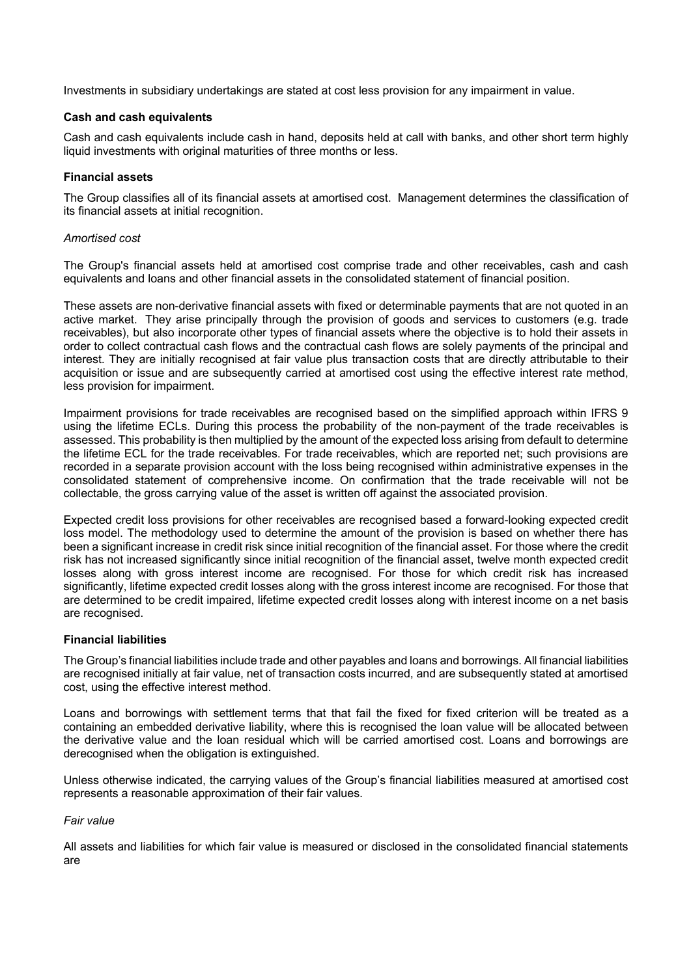Investments in subsidiary undertakings are stated at cost less provision for any impairment in value.

### **Cash and cash equivalents**

Cash and cash equivalents include cash in hand, deposits held at call with banks, and other short term highly liquid investments with original maturities of three months or less.

### **Financial assets**

The Group classifies all of its financial assets at amortised cost. Management determines the classification of its financial assets at initial recognition.

### *Amortised cost*

The Group's financial assets held at amortised cost comprise trade and other receivables, cash and cash equivalents and loans and other financial assets in the consolidated statement of financial position.

These assets are non-derivative financial assets with fixed or determinable payments that are not quoted in an active market. They arise principally through the provision of goods and services to customers (e.g. trade receivables), but also incorporate other types of financial assets where the objective is to hold their assets in order to collect contractual cash flows and the contractual cash flows are solely payments of the principal and interest. They are initially recognised at fair value plus transaction costs that are directly attributable to their acquisition or issue and are subsequently carried at amortised cost using the effective interest rate method, less provision for impairment.

Impairment provisions for trade receivables are recognised based on the simplified approach within IFRS 9 using the lifetime ECLs. During this process the probability of the non-payment of the trade receivables is assessed. This probability is then multiplied by the amount of the expected loss arising from default to determine the lifetime ECL for the trade receivables. For trade receivables, which are reported net; such provisions are recorded in a separate provision account with the loss being recognised within administrative expenses in the consolidated statement of comprehensive income. On confirmation that the trade receivable will not be collectable, the gross carrying value of the asset is written off against the associated provision.

Expected credit loss provisions for other receivables are recognised based a forward-looking expected credit loss model. The methodology used to determine the amount of the provision is based on whether there has been a significant increase in credit risk since initial recognition of the financial asset. For those where the credit risk has not increased significantly since initial recognition of the financial asset, twelve month expected credit losses along with gross interest income are recognised. For those for which credit risk has increased significantly, lifetime expected credit losses along with the gross interest income are recognised. For those that are determined to be credit impaired, lifetime expected credit losses along with interest income on a net basis are recognised.

# **Financial liabilities**

The Group's financial liabilities include trade and other payables and loans and borrowings. All financial liabilities are recognised initially at fair value, net of transaction costs incurred, and are subsequently stated at amortised cost, using the effective interest method.

Loans and borrowings with settlement terms that that fail the fixed for fixed criterion will be treated as a containing an embedded derivative liability, where this is recognised the loan value will be allocated between the derivative value and the loan residual which will be carried amortised cost. Loans and borrowings are derecognised when the obligation is extinguished.

Unless otherwise indicated, the carrying values of the Group's financial liabilities measured at amortised cost represents a reasonable approximation of their fair values.

#### *Fair value*

All assets and liabilities for which fair value is measured or disclosed in the consolidated financial statements are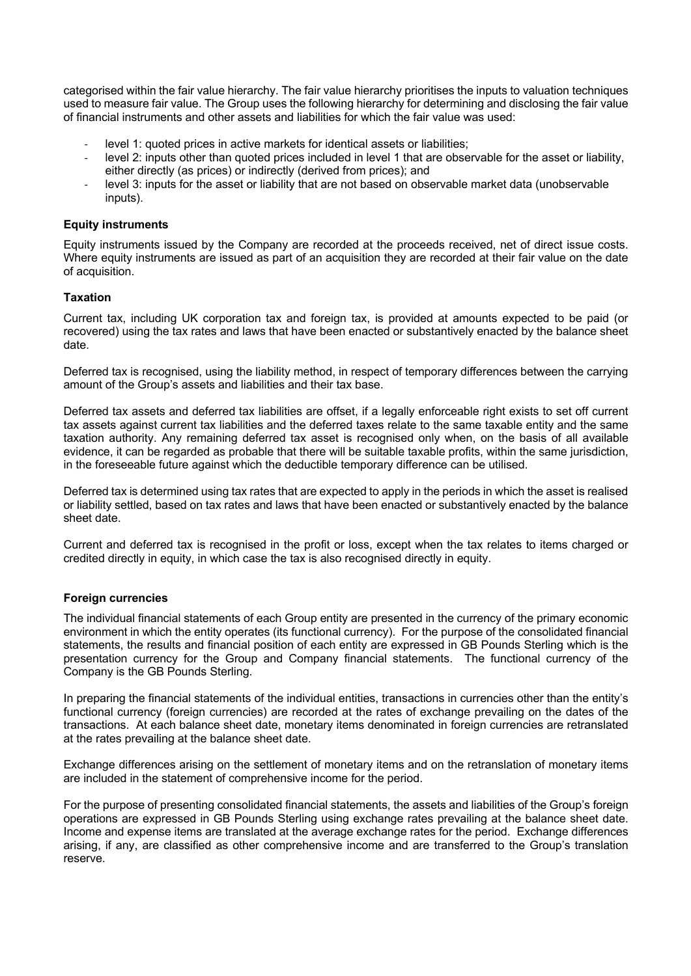categorised within the fair value hierarchy. The fair value hierarchy prioritises the inputs to valuation techniques used to measure fair value. The Group uses the following hierarchy for determining and disclosing the fair value of financial instruments and other assets and liabilities for which the fair value was used:

- level 1: quoted prices in active markets for identical assets or liabilities;
- level 2: inputs other than quoted prices included in level 1 that are observable for the asset or liability, either directly (as prices) or indirectly (derived from prices); and
- level 3: inputs for the asset or liability that are not based on observable market data (unobservable inputs).

### **Equity instruments**

Equity instruments issued by the Company are recorded at the proceeds received, net of direct issue costs. Where equity instruments are issued as part of an acquisition they are recorded at their fair value on the date of acquisition.

## **Taxation**

Current tax, including UK corporation tax and foreign tax, is provided at amounts expected to be paid (or recovered) using the tax rates and laws that have been enacted or substantively enacted by the balance sheet date.

Deferred tax is recognised, using the liability method, in respect of temporary differences between the carrying amount of the Group's assets and liabilities and their tax base.

Deferred tax assets and deferred tax liabilities are offset, if a legally enforceable right exists to set off current tax assets against current tax liabilities and the deferred taxes relate to the same taxable entity and the same taxation authority. Any remaining deferred tax asset is recognised only when, on the basis of all available evidence, it can be regarded as probable that there will be suitable taxable profits, within the same jurisdiction, in the foreseeable future against which the deductible temporary difference can be utilised.

Deferred tax is determined using tax rates that are expected to apply in the periods in which the asset is realised or liability settled, based on tax rates and laws that have been enacted or substantively enacted by the balance sheet date.

Current and deferred tax is recognised in the profit or loss, except when the tax relates to items charged or credited directly in equity, in which case the tax is also recognised directly in equity.

# **Foreign currencies**

The individual financial statements of each Group entity are presented in the currency of the primary economic environment in which the entity operates (its functional currency). For the purpose of the consolidated financial statements, the results and financial position of each entity are expressed in GB Pounds Sterling which is the presentation currency for the Group and Company financial statements. The functional currency of the Company is the GB Pounds Sterling.

In preparing the financial statements of the individual entities, transactions in currencies other than the entity's functional currency (foreign currencies) are recorded at the rates of exchange prevailing on the dates of the transactions. At each balance sheet date, monetary items denominated in foreign currencies are retranslated at the rates prevailing at the balance sheet date.

Exchange differences arising on the settlement of monetary items and on the retranslation of monetary items are included in the statement of comprehensive income for the period.

For the purpose of presenting consolidated financial statements, the assets and liabilities of the Group's foreign operations are expressed in GB Pounds Sterling using exchange rates prevailing at the balance sheet date. Income and expense items are translated at the average exchange rates for the period. Exchange differences arising, if any, are classified as other comprehensive income and are transferred to the Group's translation reserve.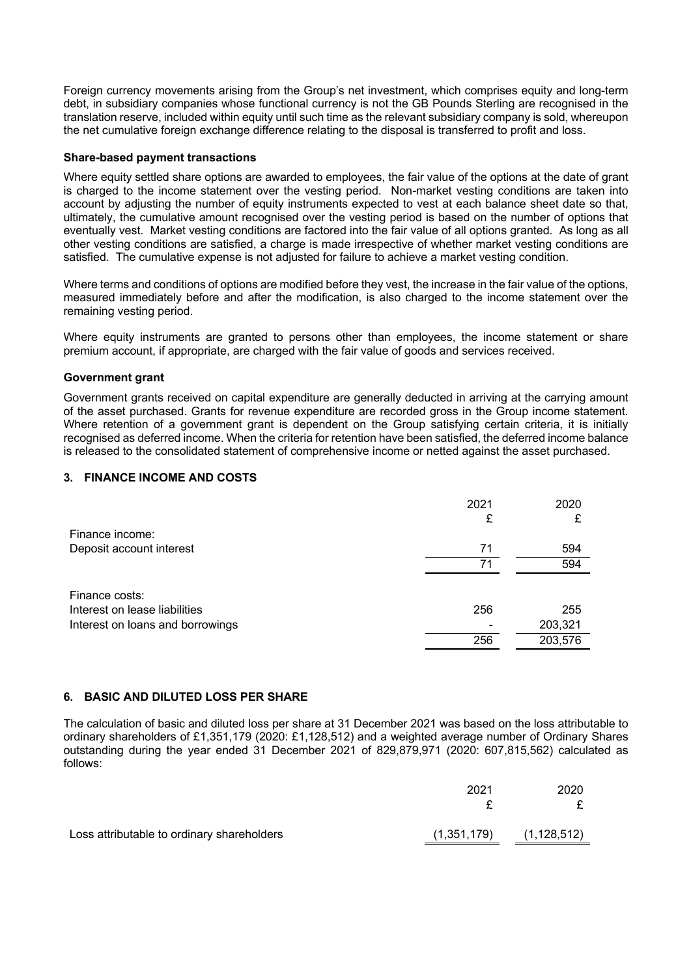Foreign currency movements arising from the Group's net investment, which comprises equity and long-term debt, in subsidiary companies whose functional currency is not the GB Pounds Sterling are recognised in the translation reserve, included within equity until such time as the relevant subsidiary company is sold, whereupon the net cumulative foreign exchange difference relating to the disposal is transferred to profit and loss.

### **Share-based payment transactions**

Where equity settled share options are awarded to employees, the fair value of the options at the date of grant is charged to the income statement over the vesting period. Non-market vesting conditions are taken into account by adjusting the number of equity instruments expected to vest at each balance sheet date so that, ultimately, the cumulative amount recognised over the vesting period is based on the number of options that eventually vest. Market vesting conditions are factored into the fair value of all options granted. As long as all other vesting conditions are satisfied, a charge is made irrespective of whether market vesting conditions are satisfied. The cumulative expense is not adjusted for failure to achieve a market vesting condition.

Where terms and conditions of options are modified before they vest, the increase in the fair value of the options, measured immediately before and after the modification, is also charged to the income statement over the remaining vesting period.

Where equity instruments are granted to persons other than employees, the income statement or share premium account, if appropriate, are charged with the fair value of goods and services received.

## **Government grant**

Government grants received on capital expenditure are generally deducted in arriving at the carrying amount of the asset purchased. Grants for revenue expenditure are recorded gross in the Group income statement. Where retention of a government grant is dependent on the Group satisfying certain criteria, it is initially recognised as deferred income. When the criteria for retention have been satisfied, the deferred income balance is released to the consolidated statement of comprehensive income or netted against the asset purchased.

# **3. FINANCE INCOME AND COSTS**

|                                  | 2021 | 2020    |
|----------------------------------|------|---------|
|                                  | £    | £       |
| Finance income:                  |      |         |
| Deposit account interest         | 71   | 594     |
|                                  | 71   | 594     |
|                                  |      |         |
| Finance costs:                   |      |         |
| Interest on lease liabilities    | 256  | 255     |
| Interest on loans and borrowings |      | 203,321 |
|                                  | 256  | 203,576 |

#### **6. BASIC AND DILUTED LOSS PER SHARE**

The calculation of basic and diluted loss per share at 31 December 2021 was based on the loss attributable to ordinary shareholders of £1,351,179 (2020: £1,128,512) and a weighted average number of Ordinary Shares outstanding during the year ended 31 December 2021 of 829,879,971 (2020: 607,815,562) calculated as follows:

|                                            | 2021        | 2020          |
|--------------------------------------------|-------------|---------------|
|                                            |             |               |
| Loss attributable to ordinary shareholders | (1,351,179) | (1, 128, 512) |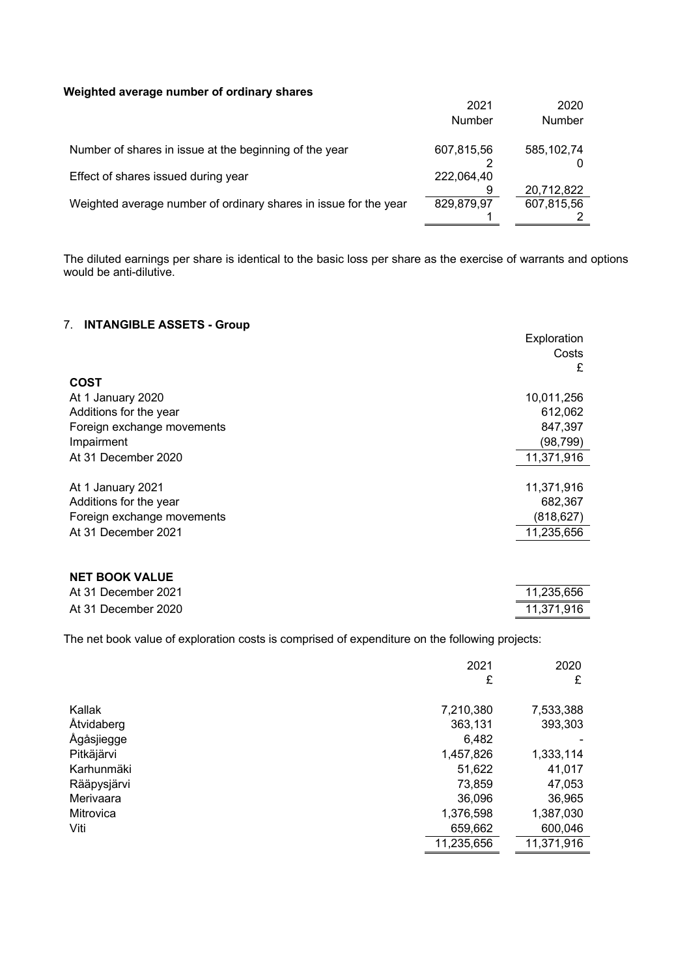## **Weighted average number of ordinary shares**

| weighted average humber of ordinary shares                       | 2021<br>Number | 2020<br>Number           |
|------------------------------------------------------------------|----------------|--------------------------|
| Number of shares in issue at the beginning of the year           | 607,815,56     | 585, 102, 74             |
| Effect of shares issued during year                              | 222,064,40     |                          |
| Weighted average number of ordinary shares in issue for the year | 829,879,97     | 20,712,822<br>607,815,56 |
|                                                                  |                |                          |

The diluted earnings per share is identical to the basic loss per share as the exercise of warrants and options would be anti-dilutive.

# 7. **INTANGIBLE ASSETS - Group**

|                            | Exploration<br>Costs<br>£ |
|----------------------------|---------------------------|
| <b>COST</b>                |                           |
| At 1 January 2020          | 10,011,256                |
| Additions for the year     | 612,062                   |
| Foreign exchange movements | 847,397                   |
| Impairment                 | (98,799)                  |
| At 31 December 2020        | 11,371,916                |
| At 1 January 2021          | 11,371,916                |
| Additions for the year     | 682,367                   |
| Foreign exchange movements | (818, 627)                |
| At 31 December 2021        | 11,235,656                |

## **NET BOOK VALUE**

| At 31 December 2021 | 11.235.656 |
|---------------------|------------|
| At 31 December 2020 | 11.371.916 |

The net book value of exploration costs is comprised of expenditure on the following projects:

|             | 2021       | 2020       |
|-------------|------------|------------|
|             | £          | £          |
| Kallak      | 7,210,380  | 7,533,388  |
| Åtvidaberg  | 363,131    | 393,303    |
| Ågåsjiegge  | 6,482      |            |
| Pitkäjärvi  | 1,457,826  | 1,333,114  |
| Karhunmäki  | 51,622     | 41,017     |
| Rääpysjärvi | 73,859     | 47,053     |
| Merivaara   | 36,096     | 36,965     |
| Mitrovica   | 1,376,598  | 1,387,030  |
| Viti        | 659,662    | 600,046    |
|             | 11,235,656 | 11,371,916 |
|             |            |            |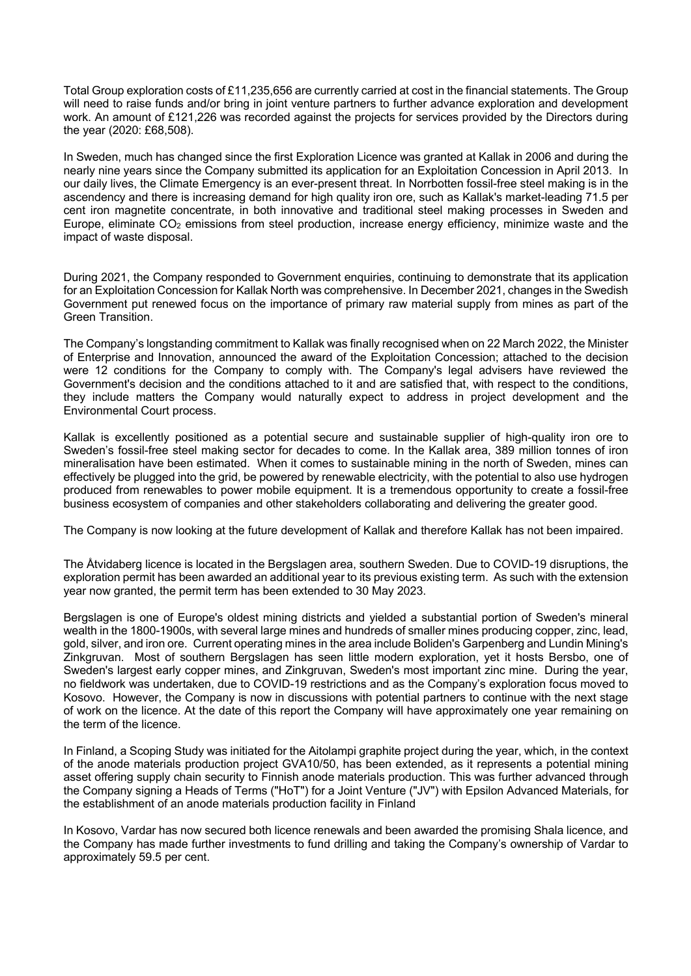Total Group exploration costs of £11,235,656 are currently carried at cost in the financial statements. The Group will need to raise funds and/or bring in joint venture partners to further advance exploration and development work. An amount of £121,226 was recorded against the projects for services provided by the Directors during the year (2020: £68,508).

In Sweden, much has changed since the first Exploration Licence was granted at Kallak in 2006 and during the nearly nine years since the Company submitted its application for an Exploitation Concession in April 2013. In our daily lives, the Climate Emergency is an ever-present threat. In Norrbotten fossil-free steel making is in the ascendency and there is increasing demand for high quality iron ore, such as Kallak's market-leading 71.5 per cent iron magnetite concentrate, in both innovative and traditional steel making processes in Sweden and Europe, eliminate  $CO<sub>2</sub>$  emissions from steel production, increase energy efficiency, minimize waste and the impact of waste disposal.

During 2021, the Company responded to Government enquiries, continuing to demonstrate that its application for an Exploitation Concession for Kallak North was comprehensive. In December 2021, changes in the Swedish Government put renewed focus on the importance of primary raw material supply from mines as part of the Green Transition.

The Company's longstanding commitment to Kallak was finally recognised when on 22 March 2022, the Minister of Enterprise and Innovation, announced the award of the Exploitation Concession; attached to the decision were 12 conditions for the Company to comply with. The Company's legal advisers have reviewed the Government's decision and the conditions attached to it and are satisfied that, with respect to the conditions, they include matters the Company would naturally expect to address in project development and the Environmental Court process.

Kallak is excellently positioned as a potential secure and sustainable supplier of high-quality iron ore to Sweden's fossil-free steel making sector for decades to come. In the Kallak area, 389 million tonnes of iron mineralisation have been estimated. When it comes to sustainable mining in the north of Sweden, mines can effectively be plugged into the grid, be powered by renewable electricity, with the potential to also use hydrogen produced from renewables to power mobile equipment. It is a tremendous opportunity to create a fossil-free business ecosystem of companies and other stakeholders collaborating and delivering the greater good.

The Company is now looking at the future development of Kallak and therefore Kallak has not been impaired.

The Åtvidaberg licence is located in the Bergslagen area, southern Sweden. Due to COVID-19 disruptions, the exploration permit has been awarded an additional year to its previous existing term. As such with the extension year now granted, the permit term has been extended to 30 May 2023.

Bergslagen is one of Europe's oldest mining districts and yielded a substantial portion of Sweden's mineral wealth in the 1800-1900s, with several large mines and hundreds of smaller mines producing copper, zinc, lead, gold, silver, and iron ore. Current operating mines in the area include Boliden's Garpenberg and Lundin Mining's Zinkgruvan. Most of southern Bergslagen has seen little modern exploration, yet it hosts Bersbo, one of Sweden's largest early copper mines, and Zinkgruvan, Sweden's most important zinc mine. During the year, no fieldwork was undertaken, due to COVID-19 restrictions and as the Company's exploration focus moved to Kosovo. However, the Company is now in discussions with potential partners to continue with the next stage of work on the licence. At the date of this report the Company will have approximately one year remaining on the term of the licence.

In Finland, a Scoping Study was initiated for the Aitolampi graphite project during the year, which, in the context of the anode materials production project GVA10/50, has been extended, as it represents a potential mining asset offering supply chain security to Finnish anode materials production. This was further advanced through the Company signing a Heads of Terms ("HoT") for a Joint Venture ("JV") with Epsilon Advanced Materials, for the establishment of an anode materials production facility in Finland

In Kosovo, Vardar has now secured both licence renewals and been awarded the promising Shala licence, and the Company has made further investments to fund drilling and taking the Company's ownership of Vardar to approximately 59.5 per cent.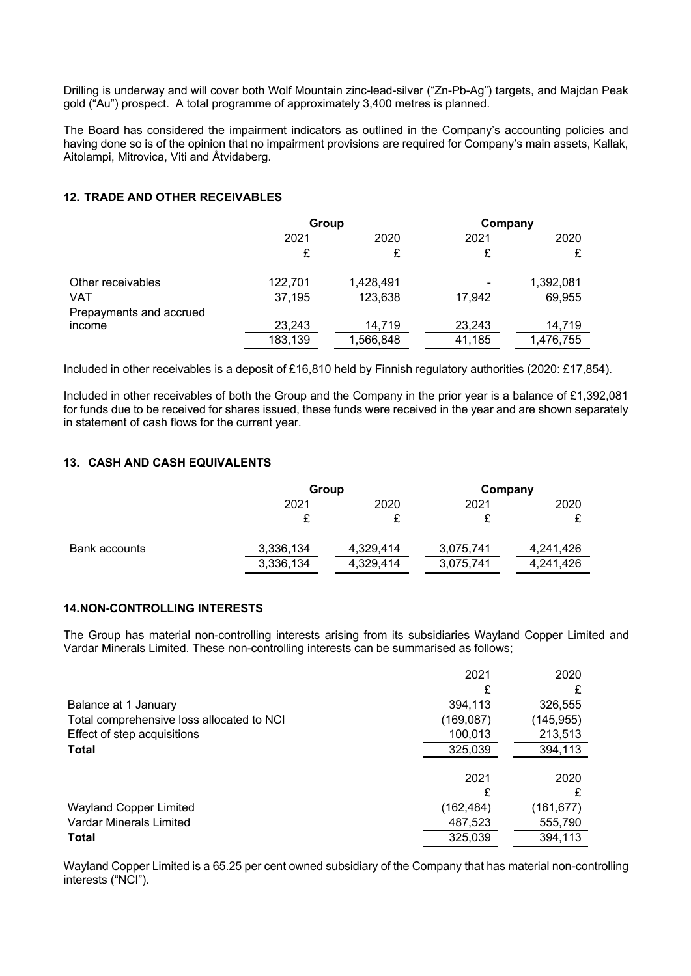Drilling is underway and will cover both Wolf Mountain zinc-lead-silver ("Zn-Pb-Ag") targets, and Majdan Peak gold ("Au") prospect. A total programme of approximately 3,400 metres is planned.

The Board has considered the impairment indicators as outlined in the Company's accounting policies and having done so is of the opinion that no impairment provisions are required for Company's main assets, Kallak, Aitolampi, Mitrovica, Viti and Åtvidaberg.

# **12. TRADE AND OTHER RECEIVABLES**

|                         | Group   |           | Company                  |           |
|-------------------------|---------|-----------|--------------------------|-----------|
|                         | 2021    | 2020      | 2021                     | 2020      |
|                         | £       | £         | £                        |           |
| Other receivables       | 122,701 | 1,428,491 | $\overline{\phantom{a}}$ | 1,392,081 |
| VAT                     | 37,195  | 123,638   | 17,942                   | 69,955    |
| Prepayments and accrued |         |           |                          |           |
| income                  | 23,243  | 14.719    | 23,243                   | 14,719    |
|                         | 183,139 | 1,566,848 | 41,185                   | 1,476,755 |

Included in other receivables is a deposit of £16,810 held by Finnish regulatory authorities (2020: £17,854).

Included in other receivables of both the Group and the Company in the prior year is a balance of £1,392,081 for funds due to be received for shares issued, these funds were received in the year and are shown separately in statement of cash flows for the current year.

# **13. CASH AND CASH EQUIVALENTS**

|               |           | Group     |           | Company   |
|---------------|-----------|-----------|-----------|-----------|
|               | 2021      | 2020      | 2021      | 2020      |
|               |           |           |           |           |
| Bank accounts | 3,336,134 | 4,329,414 | 3,075,741 | 4,241,426 |
|               | 3,336,134 | 4,329,414 | 3,075,741 | 4,241,426 |

# **14.NON-CONTROLLING INTERESTS**

The Group has material non-controlling interests arising from its subsidiaries Wayland Copper Limited and Vardar Minerals Limited. These non-controlling interests can be summarised as follows;

|                                           | 2021      | 2020      |
|-------------------------------------------|-----------|-----------|
|                                           | £         |           |
| Balance at 1 January                      | 394,113   | 326,555   |
| Total comprehensive loss allocated to NCI | (169,087) | (145,955) |
| Effect of step acquisitions               | 100,013   | 213,513   |
| <b>Total</b>                              | 325,039   | 394,113   |
|                                           |           |           |
|                                           | 2021      | 2020      |
|                                           | £         |           |
| <b>Wayland Copper Limited</b>             | (162,484) | (161,677) |
| Vardar Minerals Limited                   | 487,523   | 555,790   |
| <b>Total</b>                              | 325,039   | 394,113   |

Wayland Copper Limited is a 65.25 per cent owned subsidiary of the Company that has material non-controlling interests ("NCI").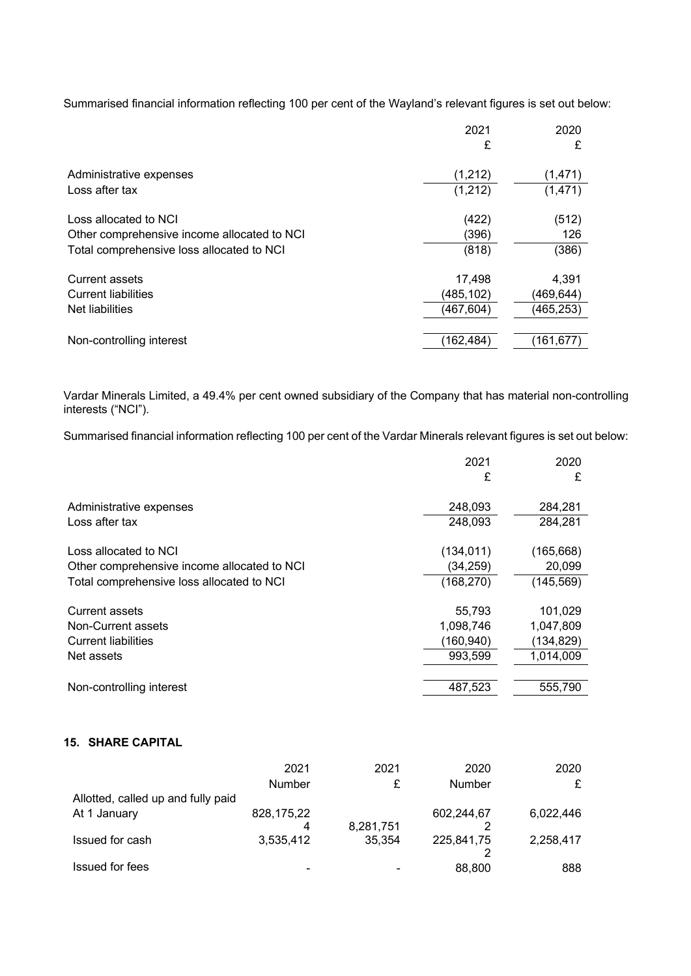Summarised financial information reflecting 100 per cent of the Wayland's relevant figures is set out below:

|                                             | 2021      | 2020       |
|---------------------------------------------|-----------|------------|
|                                             | £         | £          |
| Administrative expenses                     | (1, 212)  | (1,471)    |
| Loss after tax                              | (1,212)   | (1, 471)   |
| Loss allocated to NCI                       | (422)     | (512)      |
| Other comprehensive income allocated to NCI | (396)     | 126        |
| Total comprehensive loss allocated to NCI   | (818)     | (386)      |
| <b>Current assets</b>                       | 17,498    | 4,391      |
| <b>Current liabilities</b>                  | (485,102) | (469,644)  |
| Net liabilities                             | (467,604) | (465, 253) |
| Non-controlling interest                    | (162,484) | (161, 677) |

Vardar Minerals Limited, a 49.4% per cent owned subsidiary of the Company that has material non-controlling interests ("NCI").

Summarised financial information reflecting 100 per cent of the Vardar Minerals relevant figures is set out below:

|                                             | 2021       | 2020       |
|---------------------------------------------|------------|------------|
|                                             | £          | £          |
| Administrative expenses                     | 248,093    | 284,281    |
| Loss after tax                              | 248,093    | 284,281    |
| Loss allocated to NCI                       | (134,011)  | (165, 668) |
| Other comprehensive income allocated to NCI | (34,259)   | 20,099     |
| Total comprehensive loss allocated to NCI   | (168, 270) | (145, 569) |
| <b>Current assets</b>                       | 55,793     | 101,029    |
| Non-Current assets                          | 1,098,746  | 1,047,809  |
| <b>Current liabilities</b>                  | (160,940)  | (134, 829) |
| Net assets                                  | 993,599    | 1,014,009  |
| Non-controlling interest                    | 487,523    | 555,790    |
|                                             |            |            |

# **15. SHARE CAPITAL**

|                                    | 2021<br>Number  | 2021<br>£ | 2020<br>Number | 2020<br>£ |
|------------------------------------|-----------------|-----------|----------------|-----------|
| Allotted, called up and fully paid |                 |           |                |           |
| At 1 January                       | 828,175,22<br>4 | 8,281,751 | 602,244,67     | 6,022,446 |
| Issued for cash                    | 3,535,412       | 35,354    | 225,841,75     | 2,258,417 |
| Issued for fees                    |                 |           | 88,800         | 888       |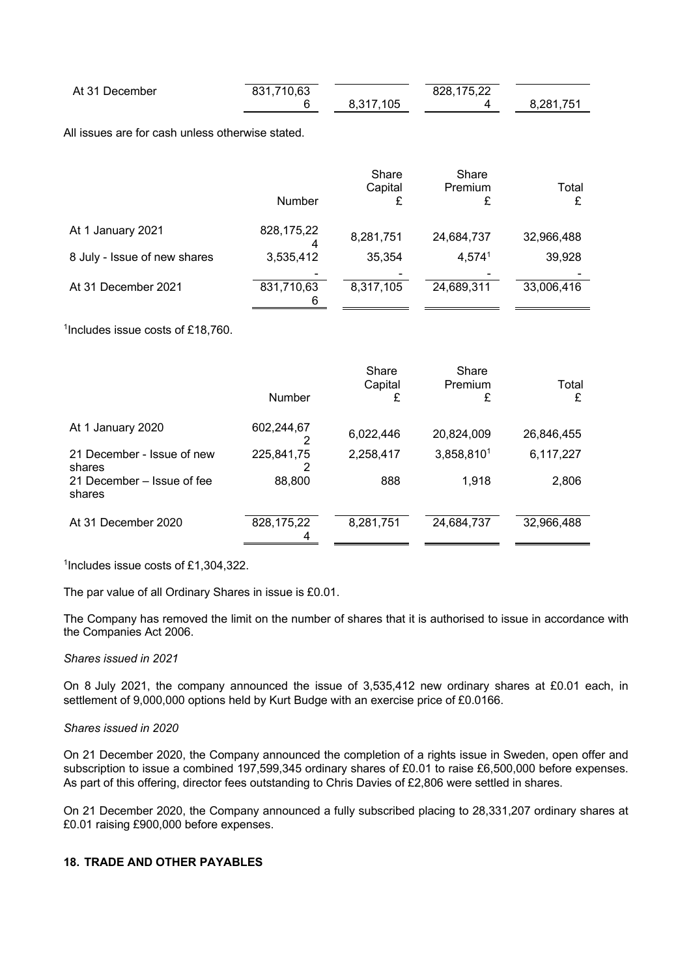| At 31 December | 831,710,63 |           | 828,175,22 |           |
|----------------|------------|-----------|------------|-----------|
|                |            | 8.317.105 |            | 8,281,751 |

All issues are for cash unless otherwise stated.

|                              | Number          | Share<br>Capital | Share<br>Premium<br>£ | Total<br>£ |
|------------------------------|-----------------|------------------|-----------------------|------------|
| At 1 January 2021            | 828,175,22      | 8,281,751        | 24,684,737            | 32,966,488 |
| 8 July - Issue of new shares | 3,535,412       | 35,354           | 4,5741                | 39,928     |
| At 31 December 2021          | 831,710,63<br>6 | 8,317,105        | 24,689,311            | 33,006,416 |

1Includes issue costs of £18,760.

|                                      |                 | Share<br>Capital | Share<br>Premium | Total      |
|--------------------------------------|-----------------|------------------|------------------|------------|
|                                      | <b>Number</b>   | £                | £                | £          |
| At 1 January 2020                    | 602,244,67      | 6,022,446        | 20,824,009       | 26,846,455 |
| 21 December - Issue of new<br>shares | 225,841,75      | 2,258,417        | 3,858,8101       | 6,117,227  |
| 21 December – Issue of fee<br>shares | 88,800          | 888              | 1,918            | 2,806      |
| At 31 December 2020                  | 828,175,22<br>4 | 8,281,751        | 24,684,737       | 32,966,488 |

<sup>1</sup>Includes issue costs of £1,304,322.

The par value of all Ordinary Shares in issue is £0.01.

The Company has removed the limit on the number of shares that it is authorised to issue in accordance with the Companies Act 2006.

## *Shares issued in 2021*

On 8 July 2021, the company announced the issue of 3,535,412 new ordinary shares at £0.01 each, in settlement of 9,000,000 options held by Kurt Budge with an exercise price of £0.0166.

## *Shares issued in 2020*

On 21 December 2020, the Company announced the completion of a rights issue in Sweden, open offer and subscription to issue a combined 197,599,345 ordinary shares of £0.01 to raise £6,500,000 before expenses. As part of this offering, director fees outstanding to Chris Davies of £2,806 were settled in shares.

On 21 December 2020, the Company announced a fully subscribed placing to 28,331,207 ordinary shares at £0.01 raising £900,000 before expenses.

## **18. TRADE AND OTHER PAYABLES**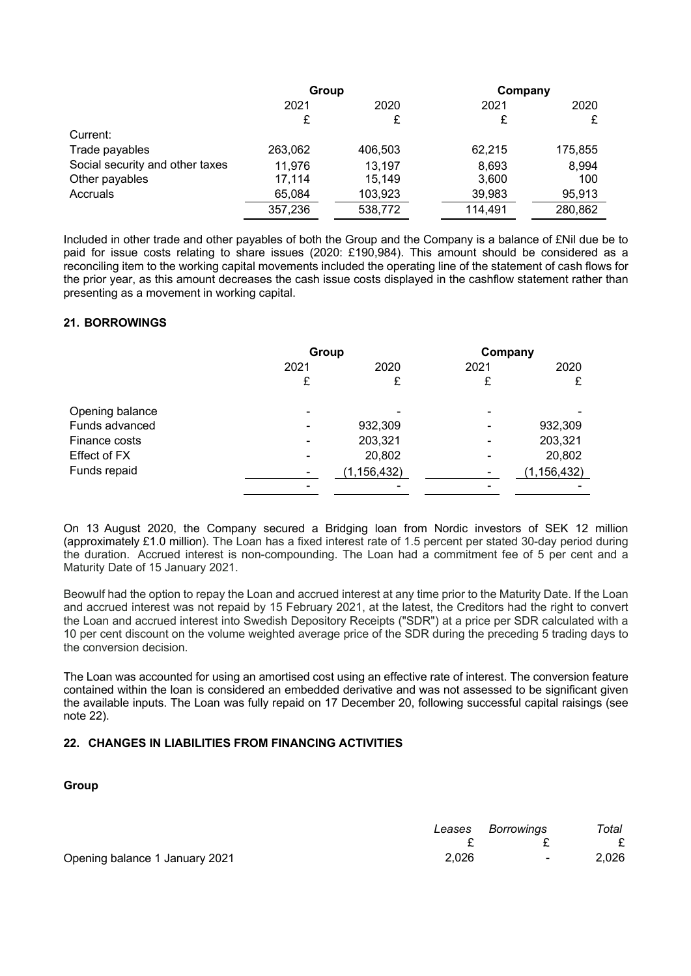|                                 | Group   |         | Company |         |
|---------------------------------|---------|---------|---------|---------|
|                                 | 2021    | 2020    | 2021    | 2020    |
|                                 | £       | £       | £       | £       |
| Current:                        |         |         |         |         |
| Trade payables                  | 263,062 | 406,503 | 62,215  | 175,855 |
| Social security and other taxes | 11,976  | 13,197  | 8,693   | 8,994   |
| Other payables                  | 17.114  | 15,149  | 3,600   | 100     |
| Accruals                        | 65,084  | 103,923 | 39,983  | 95,913  |
|                                 | 357,236 | 538,772 | 114,491 | 280,862 |

Included in other trade and other payables of both the Group and the Company is a balance of £Nil due be to paid for issue costs relating to share issues (2020: £190,984). This amount should be considered as a reconciling item to the working capital movements included the operating line of the statement of cash flows for the prior year, as this amount decreases the cash issue costs displayed in the cashflow statement rather than presenting as a movement in working capital.

## **21. BORROWINGS**

|                 |                                                                                                                                                   | Group         |                          | Company   |  |
|-----------------|---------------------------------------------------------------------------------------------------------------------------------------------------|---------------|--------------------------|-----------|--|
|                 | 2021                                                                                                                                              | 2020          | 2021                     | 2020      |  |
|                 | £                                                                                                                                                 |               | £                        | £         |  |
| Opening balance | $\qquad \qquad$                                                                                                                                   |               | $\overline{\phantom{0}}$ |           |  |
| Funds advanced  | $\hskip1.6pt\hskip1.6pt\hskip1.6pt\hskip1.6pt\hskip1.6pt\hskip1.6pt\hskip1.6pt\hskip1.6pt\hskip1.6pt\hskip1.6pt\hskip1.6pt\hskip1.6pt\hskip1.6pt$ | 932,309       | $\overline{\phantom{0}}$ | 932,309   |  |
| Finance costs   | $\blacksquare$                                                                                                                                    | 203,321       |                          | 203,321   |  |
| Effect of FX    |                                                                                                                                                   | 20,802        |                          | 20,802    |  |
| Funds repaid    |                                                                                                                                                   | (1, 156, 432) |                          | 1,156,432 |  |
|                 |                                                                                                                                                   |               |                          |           |  |

On 13 August 2020, the Company secured a Bridging loan from Nordic investors of SEK 12 million (approximately £1.0 million). The Loan has a fixed interest rate of 1.5 percent per stated 30-day period during the duration. Accrued interest is non-compounding. The Loan had a commitment fee of 5 per cent and a Maturity Date of 15 January 2021.

Beowulf had the option to repay the Loan and accrued interest at any time prior to the Maturity Date. If the Loan and accrued interest was not repaid by 15 February 2021, at the latest, the Creditors had the right to convert the Loan and accrued interest into Swedish Depository Receipts ("SDR") at a price per SDR calculated with a 10 per cent discount on the volume weighted average price of the SDR during the preceding 5 trading days to the conversion decision.

The Loan was accounted for using an amortised cost using an effective rate of interest. The conversion feature contained within the loan is considered an embedded derivative and was not assessed to be significant given the available inputs. The Loan was fully repaid on 17 December 20, following successful capital raisings (see note 22).

# **22. CHANGES IN LIABILITIES FROM FINANCING ACTIVITIES**

#### **Group**

|                                | Leases | Borrowinas | Total |
|--------------------------------|--------|------------|-------|
|                                |        |            |       |
| Opening balance 1 January 2021 | 2,026  | $\sim$     | 2,026 |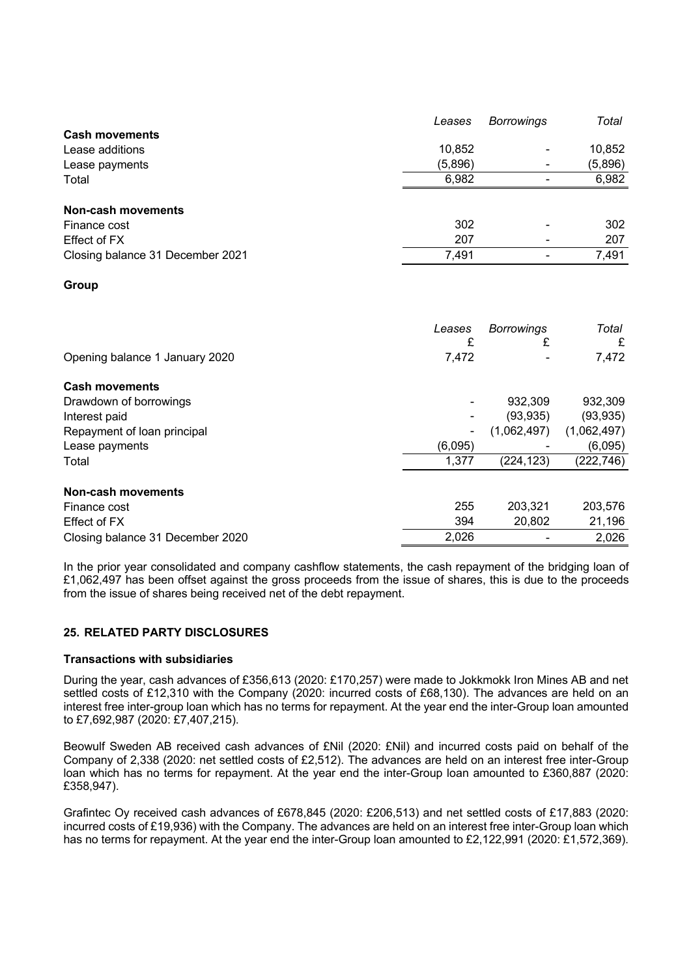|                                  | Leases  | <b>Borrowings</b> | Total   |
|----------------------------------|---------|-------------------|---------|
| <b>Cash movements</b>            |         |                   |         |
| Lease additions                  | 10,852  |                   | 10,852  |
| Lease payments                   | (5,896) |                   | (5,896) |
| Total                            | 6,982   |                   | 6,982   |
|                                  |         |                   |         |
| Non-cash movements               |         |                   |         |
| Finance cost                     | 302     |                   | 302     |
| Effect of FX                     | 207     |                   | 207     |
| Closing balance 31 December 2021 | 7,491   |                   | 7,491   |
|                                  |         |                   |         |

# **Group**

|                                  | Leases<br>£ | <b>Borrowings</b><br>£ | Total<br>£  |
|----------------------------------|-------------|------------------------|-------------|
| Opening balance 1 January 2020   | 7,472       |                        | 7,472       |
| <b>Cash movements</b>            |             |                        |             |
| Drawdown of borrowings           |             | 932,309                | 932,309     |
| Interest paid                    |             | (93, 935)              | (93, 935)   |
| Repayment of loan principal      |             | (1,062,497)            | (1,062,497) |
| Lease payments                   | (6,095)     |                        | (6,095)     |
| Total                            | 1,377       | (224, 123)             | (222, 746)  |
| Non-cash movements               |             |                        |             |
| Finance cost                     | 255         | 203,321                | 203,576     |
| Effect of FX                     | 394         | 20,802                 | 21,196      |
| Closing balance 31 December 2020 | 2,026       |                        | 2,026       |

In the prior year consolidated and company cashflow statements, the cash repayment of the bridging loan of £1,062,497 has been offset against the gross proceeds from the issue of shares, this is due to the proceeds from the issue of shares being received net of the debt repayment.

# **25. RELATED PARTY DISCLOSURES**

#### **Transactions with subsidiaries**

During the year, cash advances of £356,613 (2020: £170,257) were made to Jokkmokk Iron Mines AB and net settled costs of £12,310 with the Company (2020: incurred costs of £68,130). The advances are held on an interest free inter-group loan which has no terms for repayment. At the year end the inter-Group loan amounted to £7,692,987 (2020: £7,407,215).

Beowulf Sweden AB received cash advances of £Nil (2020: £Nil) and incurred costs paid on behalf of the Company of 2,338 (2020: net settled costs of £2,512). The advances are held on an interest free inter-Group loan which has no terms for repayment. At the year end the inter-Group loan amounted to £360,887 (2020: £358,947).

Grafintec Oy received cash advances of £678,845 (2020: £206,513) and net settled costs of £17,883 (2020: incurred costs of £19,936) with the Company. The advances are held on an interest free inter-Group loan which has no terms for repayment. At the year end the inter-Group loan amounted to £2,122,991 (2020: £1,572,369).